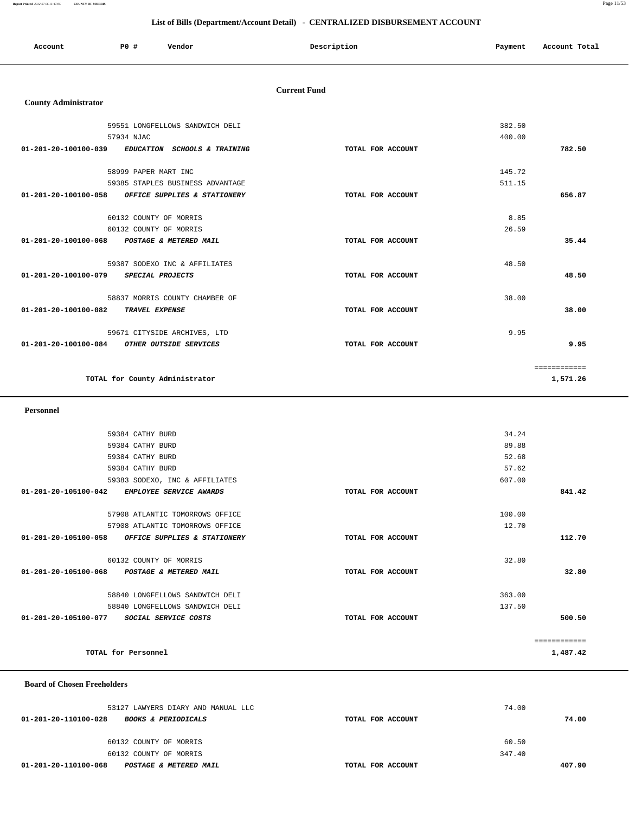**Report Printed** *2012-07-06 11:47:05* **COUNTY OF MORRIS** Page 11/53

# **List of Bills (Department/Account Detail) - CENTRALIZED DISBURSEMENT ACCOUNT**

| Account | P0 # | Vendor | Description | Payment | Account Total |
|---------|------|--------|-------------|---------|---------------|
|         |      |        |             |         |               |

# **Current Fund**

# **County Administrator**

| 59551 LONGFELLOWS SANDWICH DELI                       |                   | 382.50       |
|-------------------------------------------------------|-------------------|--------------|
| 57934 NJAC                                            |                   | 400.00       |
| 01-201-20-100100-039 EDUCATION SCHOOLS & TRAINING     | TOTAL FOR ACCOUNT | 782.50       |
|                                                       |                   |              |
| 58999 PAPER MART INC                                  |                   | 145.72       |
| 59385 STAPLES BUSINESS ADVANTAGE                      |                   | 511.15       |
| 01-201-20-100100-058 OFFICE SUPPLIES & STATIONERY     | TOTAL FOR ACCOUNT | 656.87       |
|                                                       |                   |              |
| 60132 COUNTY OF MORRIS                                |                   | 8.85         |
| 60132 COUNTY OF MORRIS                                |                   | 26.59        |
| 01-201-20-100100-068<br>POSTAGE & METERED MAIL        | TOTAL FOR ACCOUNT | 35.44        |
|                                                       |                   |              |
| 59387 SODEXO INC & AFFILIATES                         |                   | 48.50        |
| 01-201-20-100100-079<br>SPECIAL PROJECTS              | TOTAL FOR ACCOUNT | 48.50        |
|                                                       |                   |              |
| 58837 MORRIS COUNTY CHAMBER OF                        |                   | 38.00        |
| 01-201-20-100100-082<br><b>TRAVEL EXPENSE</b>         | TOTAL FOR ACCOUNT | 38.00        |
|                                                       |                   |              |
| 59671 CITYSIDE ARCHIVES, LTD                          |                   | 9.95         |
| 01-201-20-100100-084<br><i>OTHER OUTSIDE SERVICES</i> | TOTAL FOR ACCOUNT | 9.95         |
|                                                       |                   |              |
|                                                       |                   | ============ |
| TOTAL for County Administrator                        |                   | 1,571.26     |
|                                                       |                   |              |

 **Personnel** 

|                      | 59384 CATHY BURD       |                                   |                   | 34.24  |              |
|----------------------|------------------------|-----------------------------------|-------------------|--------|--------------|
|                      | 59384 CATHY BURD       |                                   |                   | 89.88  |              |
|                      | 59384 CATHY BURD       |                                   |                   | 52.68  |              |
|                      | 59384 CATHY BURD       |                                   |                   | 57.62  |              |
|                      |                        | 59383 SODEXO, INC & AFFILIATES    |                   | 607.00 |              |
| 01-201-20-105100-042 |                        | EMPLOYEE SERVICE AWARDS           | TOTAL FOR ACCOUNT |        | 841.42       |
|                      |                        | 57908 ATLANTIC TOMORROWS OFFICE   |                   | 100.00 |              |
|                      |                        | 57908 ATLANTIC TOMORROWS OFFICE   |                   | 12.70  |              |
| 01-201-20-105100-058 |                        | OFFICE SUPPLIES & STATIONERY      | TOTAL FOR ACCOUNT |        | 112.70       |
|                      | 60132 COUNTY OF MORRIS |                                   |                   | 32.80  |              |
| 01-201-20-105100-068 |                        | <b>POSTAGE &amp; METERED MAIL</b> | TOTAL FOR ACCOUNT |        | 32.80        |
|                      |                        | 58840 LONGFELLOWS SANDWICH DELI   |                   | 363.00 |              |
|                      |                        | 58840 LONGFELLOWS SANDWICH DELI   |                   | 137.50 |              |
| 01-201-20-105100-077 |                        | <i>SOCIAL SERVICE COSTS</i>       | TOTAL FOR ACCOUNT |        | 500.50       |
|                      |                        |                                   |                   |        | ============ |
|                      | TOTAL for Personnel    |                                   |                   |        | 1,487.42     |
|                      |                        |                                   |                   |        |              |

 **Board of Chosen Freeholders**

| 53127 LAWYERS DIARY AND MANUAL LLC                     | 74.00             |        |
|--------------------------------------------------------|-------------------|--------|
| 01-201-20-110100-028<br><b>BOOKS &amp; PERIODICALS</b> | TOTAL FOR ACCOUNT | 74.00  |
|                                                        |                   |        |
| 60132 COUNTY OF MORRIS                                 | 60.50             |        |
| 60132 COUNTY OF MORRIS                                 | 347.40            |        |
| 01-201-20-110100-068<br>POSTAGE & METERED MAIL         | TOTAL FOR ACCOUNT | 407.90 |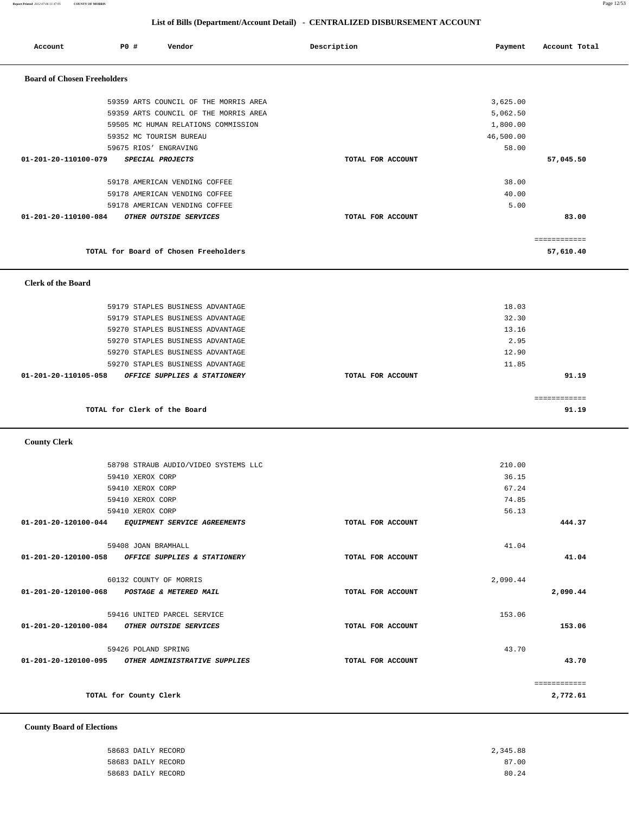**Report Printed** *2012-07-06 11:47:05* **COUNTY OF MORRIS** Page 12/53

 **County Board of Elections**

### **List of Bills (Department/Account Detail) - CENTRALIZED DISBURSEMENT ACCOUNT**

| Account                            | P0 #             | Vendor                                            | Description       | Payment   | Account Total         |
|------------------------------------|------------------|---------------------------------------------------|-------------------|-----------|-----------------------|
| <b>Board of Chosen Freeholders</b> |                  |                                                   |                   |           |                       |
|                                    |                  |                                                   |                   |           |                       |
|                                    |                  | 59359 ARTS COUNCIL OF THE MORRIS AREA             |                   | 3,625.00  |                       |
|                                    |                  | 59359 ARTS COUNCIL OF THE MORRIS AREA             |                   | 5,062.50  |                       |
|                                    |                  | 59505 MC HUMAN RELATIONS COMMISSION               |                   | 1,800.00  |                       |
|                                    |                  | 59352 MC TOURISM BUREAU                           |                   | 46,500.00 |                       |
|                                    |                  | 59675 RIOS' ENGRAVING                             |                   | 58.00     |                       |
| 01-201-20-110100-079               |                  | SPECIAL PROJECTS                                  | TOTAL FOR ACCOUNT |           | 57,045.50             |
|                                    |                  | 59178 AMERICAN VENDING COFFEE                     |                   | 38.00     |                       |
|                                    |                  | 59178 AMERICAN VENDING COFFEE                     |                   | 40.00     |                       |
|                                    |                  | 59178 AMERICAN VENDING COFFEE                     |                   | 5.00      |                       |
| 01-201-20-110100-084               |                  | OTHER OUTSIDE SERVICES                            | TOTAL FOR ACCOUNT |           | 83.00                 |
|                                    |                  |                                                   |                   |           | ============          |
|                                    |                  | TOTAL for Board of Chosen Freeholders             |                   |           | 57,610.40             |
|                                    |                  |                                                   |                   |           |                       |
| <b>Clerk of the Board</b>          |                  |                                                   |                   |           |                       |
|                                    |                  | 59179 STAPLES BUSINESS ADVANTAGE                  |                   | 18.03     |                       |
|                                    |                  | 59179 STAPLES BUSINESS ADVANTAGE                  |                   | 32.30     |                       |
|                                    |                  | 59270 STAPLES BUSINESS ADVANTAGE                  |                   | 13.16     |                       |
|                                    |                  | 59270 STAPLES BUSINESS ADVANTAGE                  |                   | 2.95      |                       |
|                                    |                  | 59270 STAPLES BUSINESS ADVANTAGE                  |                   | 12.90     |                       |
|                                    |                  | 59270 STAPLES BUSINESS ADVANTAGE                  |                   | 11.85     |                       |
| 01-201-20-110105-058               |                  | OFFICE SUPPLIES & STATIONERY                      | TOTAL FOR ACCOUNT |           | 91.19                 |
|                                    |                  | TOTAL for Clerk of the Board                      |                   |           | ============<br>91.19 |
|                                    |                  |                                                   |                   |           |                       |
| <b>County Clerk</b>                |                  |                                                   |                   |           |                       |
|                                    |                  | 58798 STRAUB AUDIO/VIDEO SYSTEMS LLC              |                   | 210.00    |                       |
|                                    | 59410 XEROX CORP |                                                   |                   | 36.15     |                       |
|                                    | 59410 XEROX CORP |                                                   |                   | 67.24     |                       |
|                                    | 59410 XEROX CORP |                                                   |                   | 74.85     |                       |
|                                    | 59410 XEROX CORP |                                                   |                   | 56.13     |                       |
|                                    |                  | 01-201-20-120100-044 EQUIPMENT SERVICE AGREEMENTS | TOTAL FOR ACCOUNT |           | 444.37                |
|                                    |                  | 59408 JOAN BRAMHALL                               |                   | 41.04     |                       |
|                                    |                  | 01-201-20-120100-058 OFFICE SUPPLIES & STATIONERY | TOTAL FOR ACCOUNT |           | 41.04                 |
|                                    |                  | 60132 COUNTY OF MORRIS                            |                   | 2,090.44  |                       |
|                                    |                  | 01-201-20-120100-068 POSTAGE & METERED MAIL       | TOTAL FOR ACCOUNT |           | 2,090.44              |
|                                    |                  | 59416 UNITED PARCEL SERVICE                       |                   | 153.06    |                       |
|                                    |                  | 01-201-20-120100-084 OTHER OUTSIDE SERVICES       | TOTAL FOR ACCOUNT |           | 153.06                |
|                                    |                  |                                                   |                   |           |                       |

 59426 POLAND SPRING 43.70  **01-201-20-120100-095 OTHER ADMINISTRATIVE SUPPLIES TOTAL FOR ACCOUNT 43.70** ============ **TOTAL for County Clerk 2,772.61**

# 58683 DAILY RECORD 2,345.88 58683 DAILY RECORD 87.00 58683 DAILY RECORD 80.24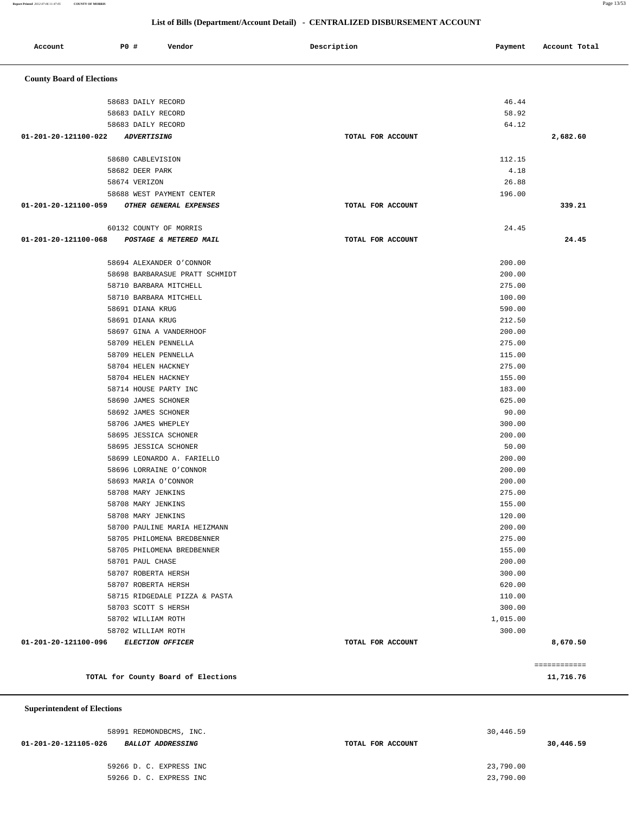**Report Printed** *2012-07-06 11:47:05* **COUNTY OF MORRIS** Page 13/53

# **List of Bills (Department/Account Detail) - CENTRALIZED DISBURSEMENT ACCOUNT**

| Account                            | P0 #<br>Vendor                                      | Description       | Payment         | Account Total |
|------------------------------------|-----------------------------------------------------|-------------------|-----------------|---------------|
| <b>County Board of Elections</b>   |                                                     |                   |                 |               |
|                                    | 58683 DAILY RECORD                                  |                   | 46.44           |               |
|                                    | 58683 DAILY RECORD                                  |                   | 58.92           |               |
|                                    | 58683 DAILY RECORD                                  |                   | 64.12           |               |
| 01-201-20-121100-022               | <i><b>ADVERTISING</b></i>                           | TOTAL FOR ACCOUNT |                 | 2,682.60      |
|                                    |                                                     |                   |                 |               |
|                                    | 58680 CABLEVISION                                   |                   | 112.15          |               |
|                                    | 58682 DEER PARK<br>58674 VERIZON                    |                   | 4.18<br>26.88   |               |
|                                    | 58688 WEST PAYMENT CENTER                           |                   | 196.00          |               |
| 01-201-20-121100-059               | OTHER GENERAL EXPENSES                              | TOTAL FOR ACCOUNT |                 | 339.21        |
|                                    |                                                     |                   |                 |               |
|                                    | 60132 COUNTY OF MORRIS                              |                   | 24.45           |               |
| 01-201-20-121100-068               | POSTAGE & METERED MAIL                              | TOTAL FOR ACCOUNT |                 | 24.45         |
|                                    | 58694 ALEXANDER O'CONNOR                            |                   | 200.00          |               |
|                                    | 58698 BARBARASUE PRATT SCHMIDT                      |                   | 200.00          |               |
|                                    | 58710 BARBARA MITCHELL                              |                   | 275.00          |               |
|                                    | 58710 BARBARA MITCHELL                              |                   | 100.00          |               |
|                                    | 58691 DIANA KRUG                                    |                   | 590.00          |               |
|                                    | 58691 DIANA KRUG                                    |                   | 212.50          |               |
|                                    | 58697 GINA A VANDERHOOF                             |                   | 200.00          |               |
|                                    | 58709 HELEN PENNELLA                                |                   | 275.00          |               |
|                                    | 58709 HELEN PENNELLA                                |                   | 115.00          |               |
|                                    | 58704 HELEN HACKNEY                                 |                   | 275.00          |               |
|                                    | 58704 HELEN HACKNEY                                 |                   | 155.00          |               |
|                                    | 58714 HOUSE PARTY INC                               |                   | 183.00          |               |
|                                    | 58690 JAMES SCHONER                                 |                   | 625.00          |               |
|                                    | 58692 JAMES SCHONER                                 |                   | 90.00           |               |
|                                    | 58706 JAMES WHEPLEY                                 |                   | 300.00          |               |
|                                    | 58695 JESSICA SCHONER                               |                   | 200.00          |               |
|                                    | 58695 JESSICA SCHONER<br>58699 LEONARDO A. FARIELLO |                   | 50.00<br>200.00 |               |
|                                    | 58696 LORRAINE O'CONNOR                             |                   | 200.00          |               |
|                                    | 58693 MARIA O'CONNOR                                |                   | 200.00          |               |
|                                    | 58708 MARY JENKINS                                  |                   | 275.00          |               |
|                                    | 58708 MARY JENKINS                                  |                   | 155.00          |               |
|                                    | 58708 MARY JENKINS                                  |                   | 120.00          |               |
|                                    | 58700 PAULINE MARIA HEIZMANN                        |                   | 200.00          |               |
|                                    | 58705 PHILOMENA BREDBENNER                          |                   | 275.00          |               |
|                                    | 58705 PHILOMENA BREDBENNER                          |                   | 155.00          |               |
|                                    | 58701 PAUL CHASE                                    |                   | 200.00          |               |
|                                    | 58707 ROBERTA HERSH                                 |                   | 300.00          |               |
|                                    | 58707 ROBERTA HERSH                                 |                   | 620.00          |               |
|                                    | 58715 RIDGEDALE PIZZA & PASTA                       |                   | 110.00          |               |
|                                    | 58703 SCOTT S HERSH                                 |                   | 300.00          |               |
|                                    | 58702 WILLIAM ROTH                                  |                   | 1,015.00        |               |
|                                    | 58702 WILLIAM ROTH                                  |                   | 300.00          |               |
| 01-201-20-121100-096               | ELECTION OFFICER                                    | TOTAL FOR ACCOUNT |                 | 8,670.50      |
|                                    |                                                     |                   |                 | ============  |
|                                    | TOTAL for County Board of Elections                 |                   |                 | 11,716.76     |
| <b>Superintendent of Elections</b> |                                                     |                   |                 |               |

 58991 REDMONDBCMS, INC. 30,446.59  **01-201-20-121105-026 BALLOT ADDRESSING TOTAL FOR ACCOUNT 30,446.59** 59266 D. C. EXPRESS INC 23,790.00 59266 D. C. EXPRESS INC 23,790.00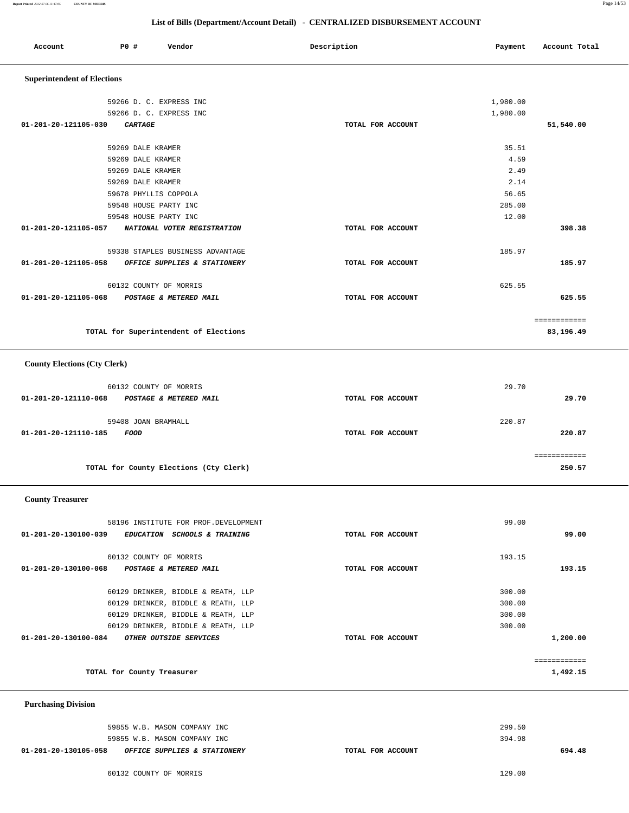# **List of Bills (Department/Account Detail) - CENTRALIZED DISBURSEMENT ACCOUNT**

| LIST OF BIIIS (Department/Account Detail) - CENTRALIZED DISBURSEMENT ACCOUNT |                   |                             |                   |          |               |
|------------------------------------------------------------------------------|-------------------|-----------------------------|-------------------|----------|---------------|
| Account                                                                      | P0 #              | Vendor                      | Description       | Payment  | Account Total |
| <b>Superintendent of Elections</b>                                           |                   |                             |                   |          |               |
|                                                                              |                   | 59266 D. C. EXPRESS INC     |                   | 1,980.00 |               |
|                                                                              |                   | 59266 D. C. EXPRESS INC     |                   | 1,980.00 |               |
| 01-201-20-121105-030                                                         | CARTAGE           |                             | TOTAL FOR ACCOUNT |          | 51,540.00     |
|                                                                              |                   |                             |                   |          |               |
|                                                                              | 59269 DALE KRAMER |                             |                   | 35.51    |               |
|                                                                              | 59269 DALE KRAMER |                             |                   | 4.59     |               |
|                                                                              | 59269 DALE KRAMER |                             |                   | 2.49     |               |
|                                                                              | 59269 DALE KRAMER |                             |                   | 2.14     |               |
|                                                                              |                   | 59678 PHYLLIS COPPOLA       |                   | 56.65    |               |
|                                                                              |                   | 59548 HOUSE PARTY INC       |                   | 285.00   |               |
|                                                                              |                   | 59548 HOUSE PARTY INC       |                   | 12.00    |               |
| 01-201-20-121105-057                                                         |                   | NATIONAL VOTER REGISTRATION | TOTAL FOR ACCOUNT |          | 398.38        |
|                                                                              |                   |                             |                   |          |               |

|                      | 59338 STAPLES BUSINESS ADVANTAGE |                   | 185.97 |        |
|----------------------|----------------------------------|-------------------|--------|--------|
| 01-201-20-121105-058 | OFFICE SUPPLIES & STATIONERY     | TOTAL FOR ACCOUNT |        | 185.97 |
|                      |                                  |                   |        |        |
|                      | 60132 COUNTY OF MORRIS           |                   | 625.55 |        |
| 01-201-20-121105-068 | POSTAGE & METERED MAIL           | TOTAL FOR ACCOUNT |        | 625.55 |
|                      |                                  |                   |        |        |
|                      |                                  |                   |        |        |

============

| TOTAL for Superintendent of Elections | 83,196.49 |
|---------------------------------------|-----------|
|                                       |           |

# **County Elections (Cty Clerk)**

| 60132 COUNTY OF MORRIS                         |                   | 29.70       |
|------------------------------------------------|-------------------|-------------|
| 01-201-20-121110-068<br>POSTAGE & METERED MAIL | TOTAL FOR ACCOUNT | 29.70       |
| 59408 JOAN BRAMHALL                            |                   | 220.87      |
| 01-201-20-121110-185<br><i>FOOD</i>            | TOTAL FOR ACCOUNT | 220.87      |
|                                                |                   | ----------- |
| TOTAL for County Elections (Cty Clerk)         |                   | 250.57      |

# **County Treasurer**

| 58196 INSTITUTE FOR PROF.DEVELOPMENT                                      |                   | 99.00        |
|---------------------------------------------------------------------------|-------------------|--------------|
| 01-201-20-130100-039<br><i>EDUCATION</i><br><b>SCHOOLS &amp; TRAINING</b> | TOTAL FOR ACCOUNT | 99.00        |
|                                                                           |                   |              |
| 60132 COUNTY OF MORRIS                                                    |                   | 193.15       |
| 01-201-20-130100-068<br><b>POSTAGE &amp; METERED MAIL</b>                 | TOTAL FOR ACCOUNT | 193.15       |
|                                                                           |                   |              |
| 60129 DRINKER, BIDDLE & REATH, LLP                                        |                   | 300.00       |
| 60129 DRINKER, BIDDLE & REATH, LLP                                        |                   | 300.00       |
| 60129 DRINKER, BIDDLE & REATH, LLP                                        |                   | 300.00       |
| 60129 DRINKER, BIDDLE & REATH, LLP                                        |                   | 300.00       |
| 01-201-20-130100-084<br>OTHER OUTSIDE SERVICES                            | TOTAL FOR ACCOUNT | 1,200.00     |
|                                                                           |                   |              |
|                                                                           |                   | ------------ |
| TOTAL for County Treasurer                                                |                   | 1,492.15     |
|                                                                           |                   |              |

### **Purchasing Division**

| 59855 W.B. MASON COMPANY INC                         | 299.50            |        |
|------------------------------------------------------|-------------------|--------|
| 59855 W.B. MASON COMPANY INC                         | 394.98            |        |
| 01-201-20-130105-058<br>OFFICE SUPPLIES & STATIONERY | TOTAL FOR ACCOUNT | 694.48 |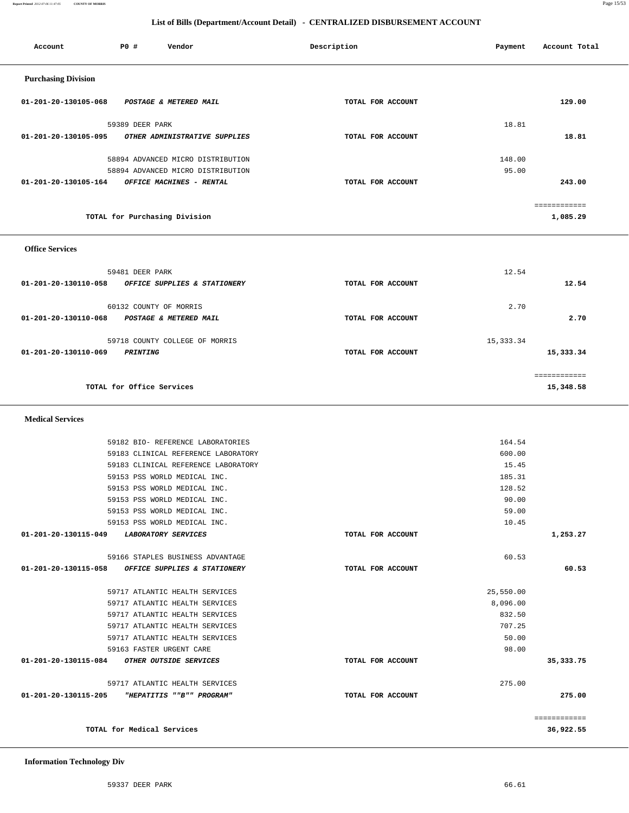| TOTAL for Medical Services                                |                   |           | 36,922.55    |
|-----------------------------------------------------------|-------------------|-----------|--------------|
|                                                           |                   |           | ============ |
| 01-201-20-130115-205<br>"HEPATITIS ""B"" PROGRAM"         | TOTAL FOR ACCOUNT |           | 275.00       |
| 59717 ATLANTIC HEALTH SERVICES                            |                   | 275.00    |              |
| 01-201-20-130115-084 OTHER OUTSIDE SERVICES               | TOTAL FOR ACCOUNT |           | 35, 333.75   |
| 59163 FASTER URGENT CARE                                  |                   | 98.00     |              |
| 59717 ATLANTIC HEALTH SERVICES                            |                   | 50.00     |              |
| 59717 ATLANTIC HEALTH SERVICES                            |                   | 707.25    |              |
| 59717 ATLANTIC HEALTH SERVICES                            |                   | 832.50    |              |
| 59717 ATLANTIC HEALTH SERVICES                            |                   | 8,096.00  |              |
| 59717 ATLANTIC HEALTH SERVICES                            |                   | 25,550.00 |              |
| 01-201-20-130115-058<br>OFFICE SUPPLIES & STATIONERY      | TOTAL FOR ACCOUNT |           | 60.53        |
| 59166 STAPLES BUSINESS ADVANTAGE                          |                   | 60.53     |              |
|                                                           |                   |           |              |
| 01-201-20-130115-049<br><i><b>LABORATORY SERVICES</b></i> | TOTAL FOR ACCOUNT |           | 1,253.27     |
| 59153 PSS WORLD MEDICAL INC.                              |                   | 10.45     |              |
| 59153 PSS WORLD MEDICAL INC.                              |                   | 59.00     |              |
| 59153 PSS WORLD MEDICAL INC.                              |                   | 90.00     |              |
| 59153 PSS WORLD MEDICAL INC.                              |                   | 128.52    |              |
| 59153 PSS WORLD MEDICAL INC.                              |                   | 185.31    |              |
| 59183 CLINICAL REFERENCE LABORATORY                       |                   | 15.45     |              |
| 59183 CLINICAL REFERENCE LABORATORY                       |                   | 600.00    |              |

 **Medical Services** 

|              | TUTAL FOR ACCOUNT | OFFICE MACHINES - RENIAL       | 01-401-40-130103-104   |
|--------------|-------------------|--------------------------------|------------------------|
| ============ |                   | TOTAL for Purchasing Division  |                        |
|              |                   |                                | <b>Office Services</b> |
| 12.54        |                   | 59481 DEER PARK                |                        |
|              | TOTAL FOR ACCOUNT | OFFICE SUPPLIES & STATIONERY   | 01-201-20-130110-058   |
| 2.70         |                   | 60132 COUNTY OF MORRIS         |                        |
|              | TOTAL FOR ACCOUNT | POSTAGE & METERED MAIL         | 01-201-20-130110-068   |
| 15, 333.34   |                   | 59718 COUNTY COLLEGE OF MORRIS |                        |
| 15,333.34    | TOTAL FOR ACCOUNT | <i><b>PRINTING</b></i>         | 01-201-20-130110-069   |
| ------------ |                   |                                |                        |
| 15,348.58    |                   | TOTAL for Office Services      |                        |

59182 BIO- REFERENCE LABORATORIES 164.54

| <b>Purchasing Division</b> |                                   |                   |            |
|----------------------------|-----------------------------------|-------------------|------------|
| 01-201-20-130105-068       | POSTAGE & METERED MAIL            | TOTAL FOR ACCOUNT | 129.00     |
|                            | 59389 DEER PARK                   |                   | 18.81      |
| 01-201-20-130105-095       | OTHER ADMINISTRATIVE SUPPLIES     | TOTAL FOR ACCOUNT | 18.81      |
|                            | 58894 ADVANCED MICRO DISTRIBUTION |                   | 148.00     |
|                            | 58894 ADVANCED MICRO DISTRIBUTION |                   | 95.00      |
| 01-201-20-130105-164       | OFFICE MACHINES - RENTAL          | TOTAL FOR ACCOUNT | 243.00     |
|                            |                                   |                   | eeeeeeeeee |

 **List of Bills (Department/Account Detail) - CENTRALIZED DISBURSEMENT ACCOUNT**

Account **PO #** Vendor **Payment Payment Payment** Payment Payment Payment Account Total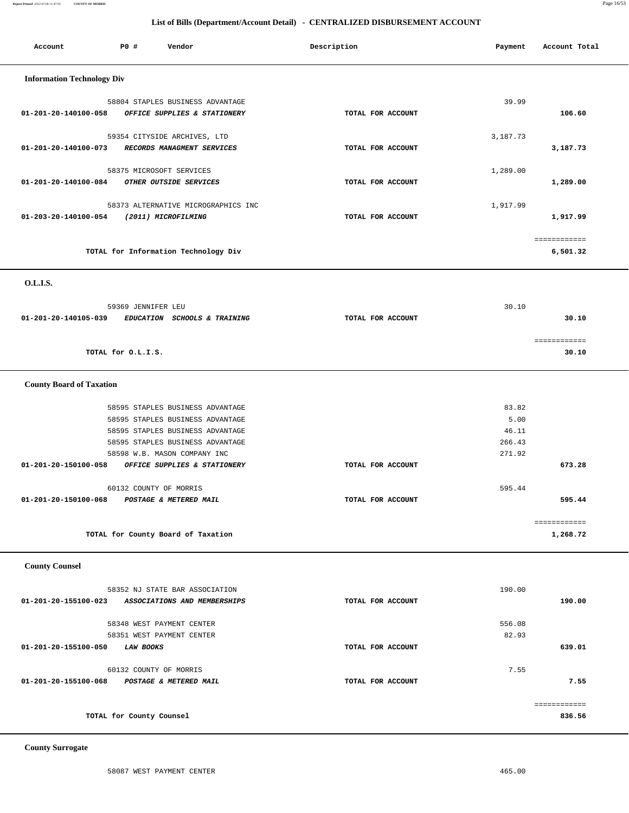**Report Printed** *2012-07-06 11:47:05* **COUNTY OF MORRIS** Page 16/53

# **List of Bills (Department/Account Detail) - CENTRALIZED DISBURSEMENT ACCOUNT**

| Account                           | P0 #                     | Vendor                                                                                                                                                                       | Description       | Payment                                    | Account Total            |
|-----------------------------------|--------------------------|------------------------------------------------------------------------------------------------------------------------------------------------------------------------------|-------------------|--------------------------------------------|--------------------------|
| <b>Information Technology Div</b> |                          |                                                                                                                                                                              |                   |                                            |                          |
| 01-201-20-140100-058              |                          | 58804 STAPLES BUSINESS ADVANTAGE<br>OFFICE SUPPLIES & STATIONERY                                                                                                             | TOTAL FOR ACCOUNT | 39.99                                      | 106.60                   |
| 01-201-20-140100-073              |                          | 59354 CITYSIDE ARCHIVES, LTD<br>RECORDS MANAGMENT SERVICES                                                                                                                   | TOTAL FOR ACCOUNT | 3,187.73                                   | 3,187.73                 |
| 01-201-20-140100-084              |                          | 58375 MICROSOFT SERVICES<br>OTHER OUTSIDE SERVICES                                                                                                                           | TOTAL FOR ACCOUNT | 1,289.00                                   | 1,289.00                 |
| 01-203-20-140100-054              |                          | 58373 ALTERNATIVE MICROGRAPHICS INC<br>(2011) MICROFILMING                                                                                                                   | TOTAL FOR ACCOUNT | 1,917.99                                   | 1,917.99                 |
|                                   |                          | TOTAL for Information Technology Div                                                                                                                                         |                   |                                            | ============<br>6,501.32 |
| O.L.LS.                           |                          |                                                                                                                                                                              |                   |                                            |                          |
| 01-201-20-140105-039              | 59369 JENNIFER LEU       | EDUCATION SCHOOLS & TRAINING                                                                                                                                                 | TOTAL FOR ACCOUNT | 30.10                                      | 30.10                    |
|                                   | TOTAL for O.L.I.S.       |                                                                                                                                                                              |                   |                                            | ============<br>30.10    |
| <b>County Board of Taxation</b>   |                          |                                                                                                                                                                              |                   |                                            |                          |
|                                   |                          | 58595 STAPLES BUSINESS ADVANTAGE<br>58595 STAPLES BUSINESS ADVANTAGE<br>58595 STAPLES BUSINESS ADVANTAGE<br>58595 STAPLES BUSINESS ADVANTAGE<br>58598 W.B. MASON COMPANY INC |                   | 83.82<br>5.00<br>46.11<br>266.43<br>271.92 |                          |
| 01-201-20-150100-058              |                          | OFFICE SUPPLIES & STATIONERY                                                                                                                                                 | TOTAL FOR ACCOUNT |                                            | 673.28                   |
| 01-201-20-150100-068              |                          | 60132 COUNTY OF MORRIS<br>POSTAGE & METERED MAIL                                                                                                                             | TOTAL FOR ACCOUNT | 595.44                                     | 595.44                   |
|                                   |                          | TOTAL for County Board of Taxation                                                                                                                                           |                   |                                            | ============<br>1,268.72 |
| <b>County Counsel</b>             |                          |                                                                                                                                                                              |                   |                                            |                          |
| 01-201-20-155100-023              |                          | 58352 NJ STATE BAR ASSOCIATION<br>ASSOCIATIONS AND MEMBERSHIPS                                                                                                               | TOTAL FOR ACCOUNT | 190.00                                     | 190.00                   |
| 01-201-20-155100-050              | LAW BOOKS                | 58348 WEST PAYMENT CENTER<br>58351 WEST PAYMENT CENTER                                                                                                                       | TOTAL FOR ACCOUNT | 556.08<br>82.93                            | 639.01                   |
| 01-201-20-155100-068              |                          | 60132 COUNTY OF MORRIS<br>POSTAGE & METERED MAIL                                                                                                                             | TOTAL FOR ACCOUNT | 7.55                                       | 7.55                     |
|                                   | TOTAL for County Counsel |                                                                                                                                                                              |                   |                                            | ============<br>836.56   |

 **County Surrogate**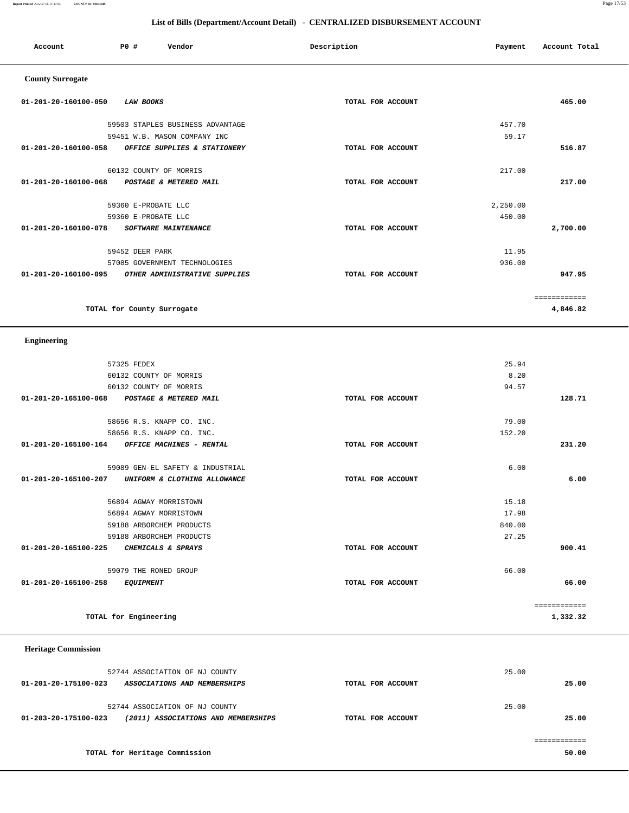**Report Printed** *2012-07-06 11:47:05* **COUNTY OF MORRIS** Page 17/53

# **List of Bills (Department/Account Detail) - CENTRALIZED DISBURSEMENT ACCOUNT**

| Account                 | PO#<br>Vendor                    | Description       | Payment  | Account Total |
|-------------------------|----------------------------------|-------------------|----------|---------------|
| <b>County Surrogate</b> |                                  |                   |          |               |
| 01-201-20-160100-050    | <b>LAW BOOKS</b>                 | TOTAL FOR ACCOUNT |          | 465.00        |
|                         | 59503 STAPLES BUSINESS ADVANTAGE |                   | 457.70   |               |
|                         | 59451 W.B. MASON COMPANY INC     |                   | 59.17    |               |
| 01-201-20-160100-058    | OFFICE SUPPLIES & STATIONERY     | TOTAL FOR ACCOUNT |          | 516.87        |
|                         | 60132 COUNTY OF MORRIS           |                   | 217.00   |               |
| 01-201-20-160100-068    | POSTAGE & METERED MAIL           | TOTAL FOR ACCOUNT |          | 217.00        |
|                         | 59360 E-PROBATE LLC              |                   | 2,250.00 |               |
|                         | 59360 E-PROBATE LLC              |                   | 450.00   |               |
| 01-201-20-160100-078    | SOFTWARE MAINTENANCE             | TOTAL FOR ACCOUNT |          | 2,700.00      |
|                         | 59452 DEER PARK                  |                   | 11.95    |               |
|                         | 57085 GOVERNMENT TECHNOLOGIES    |                   | 936.00   |               |
| 01-201-20-160100-095    | OTHER ADMINISTRATIVE SUPPLIES    | TOTAL FOR ACCOUNT |          | 947.95        |
|                         |                                  |                   |          | ============  |
|                         | TOTAL for County Surrogate       |                   |          | 4,846.82      |
| <b>Engineering</b>      |                                  |                   |          |               |
|                         | 57325 FEDEX                      |                   | 25.94    |               |
|                         | 60132 COUNTY OF MORRIS           |                   | 8.20     |               |
|                         | 60132 COUNTY OF MORRIS           |                   | 94.57    |               |
| 01-201-20-165100-068    |                                  | TOTAL FOR ACCOUNT |          | 128.71        |
|                         | POSTAGE & METERED MAIL           |                   |          |               |
|                         | 58656 R.S. KNAPP CO. INC.        |                   | 79.00    |               |
|                         | 58656 R.S. KNAPP CO. INC.        |                   | 152.20   |               |
| 01-201-20-165100-164    | OFFICE MACHINES - RENTAL         | TOTAL FOR ACCOUNT |          | 231.20        |

| 59089 GEN-EL SAFETY & INDUSTRIAL<br>01-201-20-165100-207<br>UNIFORM & CLOTHING ALLOWANCE | TOTAL FOR ACCOUNT | 6.00   | 6.00     |
|------------------------------------------------------------------------------------------|-------------------|--------|----------|
| 56894 AGWAY MORRISTOWN                                                                   |                   | 15.18  |          |
| 56894 AGWAY MORRISTOWN                                                                   |                   | 17.98  |          |
| 59188 ARBORCHEM PRODUCTS                                                                 |                   | 840.00 |          |
| 59188 ARBORCHEM PRODUCTS                                                                 |                   | 27.25  |          |
| 01-201-20-165100-225<br>CHEMICALS & SPRAYS                                               | TOTAL FOR ACCOUNT |        | 900.41   |
| 59079 THE RONED GROUP                                                                    |                   | 66.00  |          |
| 01-201-20-165100-258<br><i>EQUIPMENT</i>                                                 | TOTAL FOR ACCOUNT |        | 66.00    |
|                                                                                          |                   |        |          |
| TOTAL for Engineering                                                                    |                   |        | 1,332.32 |

 **Heritage Commission** 

| 52744 ASSOCIATION OF NJ COUNTY                              |                   | 25.00 |
|-------------------------------------------------------------|-------------------|-------|
| 01-201-20-175100-023<br>ASSOCIATIONS AND MEMBERSHIPS        | TOTAL FOR ACCOUNT | 25.00 |
|                                                             |                   |       |
| 52744 ASSOCIATION OF NJ COUNTY                              |                   | 25.00 |
| 01-203-20-175100-023<br>(2011) ASSOCIATIONS AND MEMBERSHIPS | TOTAL FOR ACCOUNT | 25.00 |
|                                                             |                   |       |
|                                                             |                   |       |
| TOTAL for Heritage Commission                               |                   | 50.00 |
|                                                             |                   |       |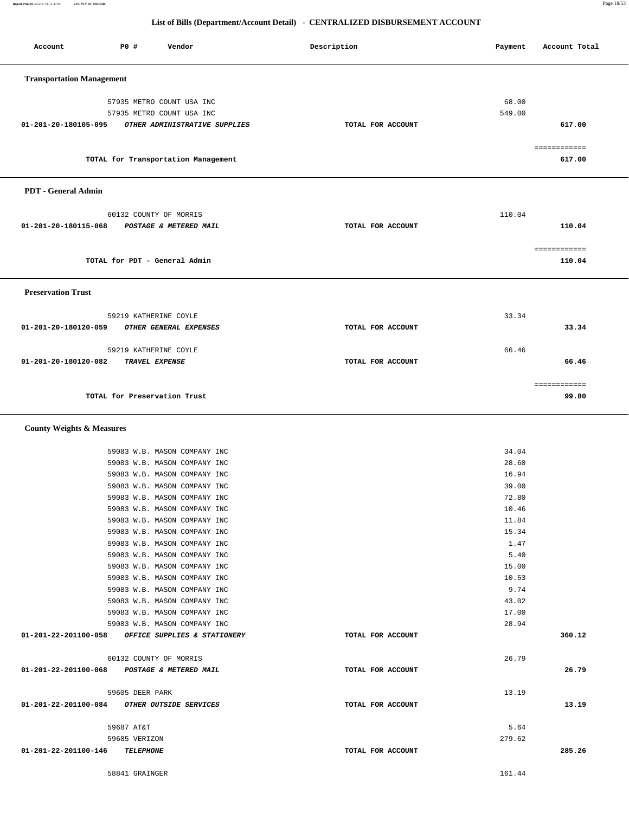**Report Printed** *2012-07-06 11:47:05* **COUNTY OF MORRIS** Page 18/53

# **List of Bills (Department/Account Detail) - CENTRALIZED DISBURSEMENT ACCOUNT**

| Account                                           | P0 #                          | Vendor                                                       | Description       | Payment         | Account Total          |
|---------------------------------------------------|-------------------------------|--------------------------------------------------------------|-------------------|-----------------|------------------------|
| <b>Transportation Management</b>                  |                               |                                                              |                   |                 |                        |
|                                                   |                               |                                                              |                   |                 |                        |
|                                                   |                               | 57935 METRO COUNT USA INC<br>57935 METRO COUNT USA INC       |                   | 68.00<br>549.00 |                        |
| 01-201-20-180105-095                              |                               | OTHER ADMINISTRATIVE SUPPLIES                                | TOTAL FOR ACCOUNT |                 | 617.00                 |
|                                                   |                               |                                                              |                   |                 |                        |
|                                                   |                               |                                                              |                   |                 | ============           |
|                                                   |                               | TOTAL for Transportation Management                          |                   |                 | 617.00                 |
| PDT - General Admin                               |                               |                                                              |                   |                 |                        |
|                                                   |                               | 60132 COUNTY OF MORRIS                                       |                   | 110.04          |                        |
| 01-201-20-180115-068                              |                               | POSTAGE & METERED MAIL                                       | TOTAL FOR ACCOUNT |                 | 110.04                 |
|                                                   |                               |                                                              |                   |                 |                        |
|                                                   | TOTAL for PDT - General Admin |                                                              |                   |                 | ============<br>110.04 |
| <b>Preservation Trust</b>                         |                               |                                                              |                   |                 |                        |
|                                                   |                               |                                                              |                   |                 |                        |
|                                                   |                               | 59219 KATHERINE COYLE                                        |                   | 33.34           |                        |
| 01-201-20-180120-059                              |                               | OTHER GENERAL EXPENSES                                       | TOTAL FOR ACCOUNT |                 | 33.34                  |
|                                                   | 59219 KATHERINE COYLE         |                                                              |                   | 66.46           |                        |
| 01-201-20-180120-082                              |                               | TRAVEL EXPENSE                                               | TOTAL FOR ACCOUNT |                 | 66.46                  |
|                                                   |                               |                                                              |                   |                 |                        |
|                                                   |                               |                                                              |                   |                 | ============           |
|                                                   | TOTAL for Preservation Trust  |                                                              |                   |                 | 99.80                  |
| <b>County Weights &amp; Measures</b>              |                               |                                                              |                   |                 |                        |
|                                                   |                               |                                                              |                   |                 |                        |
|                                                   |                               | 59083 W.B. MASON COMPANY INC<br>59083 W.B. MASON COMPANY INC |                   | 34.04<br>28.60  |                        |
|                                                   |                               | 59083 W.B. MASON COMPANY INC                                 |                   | 16.94           |                        |
|                                                   |                               | 59083 W.B. MASON COMPANY INC                                 |                   | 39.00           |                        |
|                                                   |                               | 59083 W.B. MASON COMPANY INC                                 |                   | 72.80           |                        |
|                                                   |                               | 59083 W.B. MASON COMPANY INC                                 |                   | 10.46           |                        |
|                                                   |                               | 59083 W.B. MASON COMPANY INC                                 |                   | 11.84           |                        |
|                                                   |                               | 59083 W.B. MASON COMPANY INC                                 |                   | 15.34<br>1.47   |                        |
|                                                   |                               | 59083 W.B. MASON COMPANY INC<br>59083 W.B. MASON COMPANY INC |                   | 5.40            |                        |
|                                                   |                               | 59083 W.B. MASON COMPANY INC                                 |                   | 15.00           |                        |
|                                                   |                               | 59083 W.B. MASON COMPANY INC                                 |                   | 10.53           |                        |
|                                                   |                               | 59083 W.B. MASON COMPANY INC                                 |                   | 9.74            |                        |
|                                                   |                               | 59083 W.B. MASON COMPANY INC                                 |                   | 43.02           |                        |
|                                                   |                               | 59083 W.B. MASON COMPANY INC                                 |                   | 17.00           |                        |
|                                                   |                               | 59083 W.B. MASON COMPANY INC                                 |                   | 28.94           |                        |
| 01-201-22-201100-058 OFFICE SUPPLIES & STATIONERY |                               |                                                              | TOTAL FOR ACCOUNT |                 | 360.12                 |
|                                                   |                               | 60132 COUNTY OF MORRIS                                       |                   | 26.79           |                        |
| 01-201-22-201100-068 POSTAGE & METERED MAIL       |                               |                                                              | TOTAL FOR ACCOUNT |                 | 26.79                  |
|                                                   |                               |                                                              |                   |                 |                        |
|                                                   | 59605 DEER PARK               |                                                              |                   | 13.19           |                        |
| 01-201-22-201100-084 OTHER OUTSIDE SERVICES       |                               |                                                              | TOTAL FOR ACCOUNT |                 | 13.19                  |
|                                                   | 59687 AT&T                    |                                                              |                   | 5.64            |                        |
|                                                   | 59685 VERIZON                 |                                                              |                   | 279.62          |                        |
| 01-201-22-201100-146 TELEPHONE                    |                               |                                                              | TOTAL FOR ACCOUNT |                 | 285.26                 |
|                                                   |                               |                                                              |                   |                 |                        |
|                                                   | 58841 GRAINGER                |                                                              |                   | 161.44          |                        |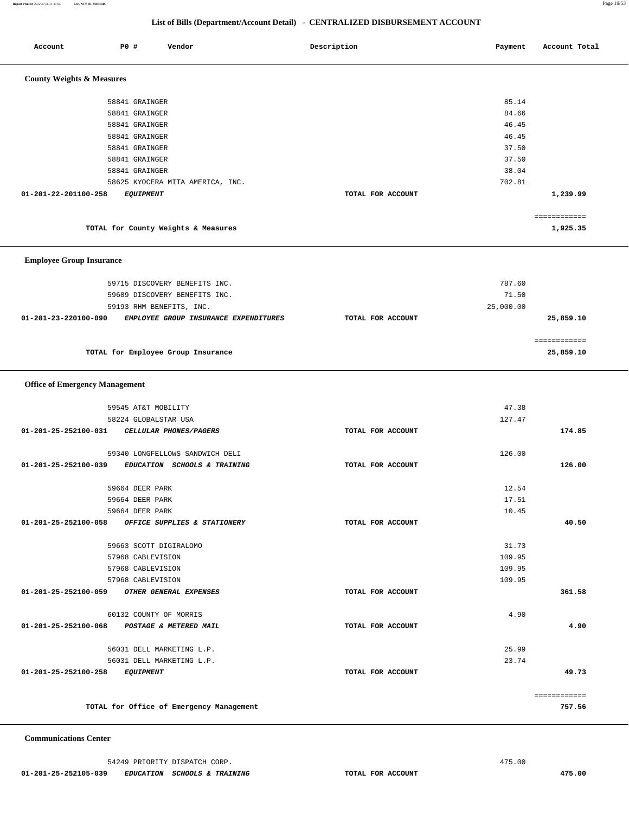**Report Printed** *2012-07-06 11:47:05* **COUNTY OF MORRIS** Page 19/53

# **List of Bills (Department/Account Detail) - CENTRALIZED DISBURSEMENT ACCOUNT**

| Account                               | P0 # | Vendor                                            | Description       | Payment   | Account Total             |
|---------------------------------------|------|---------------------------------------------------|-------------------|-----------|---------------------------|
|                                       |      |                                                   |                   |           |                           |
| <b>County Weights &amp; Measures</b>  |      |                                                   |                   |           |                           |
|                                       |      | 58841 GRAINGER                                    |                   | 85.14     |                           |
|                                       |      | 58841 GRAINGER                                    |                   | 84.66     |                           |
|                                       |      | 58841 GRAINGER                                    |                   | 46.45     |                           |
|                                       |      | 58841 GRAINGER                                    |                   | 46.45     |                           |
|                                       |      | 58841 GRAINGER                                    |                   | 37.50     |                           |
|                                       |      | 58841 GRAINGER                                    |                   | 37.50     |                           |
|                                       |      | 58841 GRAINGER                                    |                   | 38.04     |                           |
|                                       |      | 58625 KYOCERA MITA AMERICA, INC.                  |                   | 702.81    |                           |
| 01-201-22-201100-258                  |      | <b>EQUIPMENT</b>                                  | TOTAL FOR ACCOUNT |           | 1,239.99                  |
|                                       |      | TOTAL for County Weights & Measures               |                   |           | ============<br>1,925.35  |
|                                       |      |                                                   |                   |           |                           |
| <b>Employee Group Insurance</b>       |      |                                                   |                   |           |                           |
|                                       |      | 59715 DISCOVERY BENEFITS INC.                     |                   | 787.60    |                           |
|                                       |      | 59689 DISCOVERY BENEFITS INC.                     |                   | 71.50     |                           |
|                                       |      | 59193 RHM BENEFITS, INC.                          |                   | 25,000.00 |                           |
| 01-201-23-220100-090                  |      | EMPLOYEE GROUP INSURANCE EXPENDITURES             | TOTAL FOR ACCOUNT |           | 25,859.10                 |
|                                       |      | TOTAL for Employee Group Insurance                |                   |           | ============<br>25,859.10 |
|                                       |      |                                                   |                   |           |                           |
| <b>Office of Emergency Management</b> |      |                                                   |                   |           |                           |
|                                       |      | 59545 AT&T MOBILITY                               |                   | 47.38     |                           |
|                                       |      | 58224 GLOBALSTAR USA                              |                   | 127.47    |                           |
| 01-201-25-252100-031                  |      | CELLULAR PHONES/PAGERS                            | TOTAL FOR ACCOUNT |           | 174.85                    |
|                                       |      | 59340 LONGFELLOWS SANDWICH DELI                   |                   | 126.00    |                           |
| 01-201-25-252100-039                  |      | EDUCATION SCHOOLS & TRAINING                      | TOTAL FOR ACCOUNT |           | 126.00                    |
|                                       |      | 59664 DEER PARK                                   |                   | 12.54     |                           |
|                                       |      | 59664 DEER PARK                                   |                   | 17.51     |                           |
|                                       |      | 59664 DEER PARK                                   |                   | 10.45     |                           |
|                                       |      | 01-201-25-252100-058 OFFICE SUPPLIES & STATIONERY | TOTAL FOR ACCOUNT |           | 40.50                     |
|                                       |      | 59663 SCOTT DIGIRALOMO                            |                   | 31.73     |                           |
|                                       |      | 57968 CABLEVISION                                 |                   | 109.95    |                           |
|                                       |      | 57968 CABLEVISION                                 |                   | 109.95    |                           |
|                                       |      | 57968 CABLEVISION                                 |                   | 109.95    |                           |
| 01-201-25-252100-059                  |      | OTHER GENERAL EXPENSES                            | TOTAL FOR ACCOUNT |           | 361.58                    |
|                                       |      | 60132 COUNTY OF MORRIS                            |                   | 4.90      |                           |
|                                       |      | 01-201-25-252100-068 POSTAGE & METERED MAIL       | TOTAL FOR ACCOUNT |           | 4.90                      |
|                                       |      | 56031 DELL MARKETING L.P.                         |                   | 25.99     |                           |
|                                       |      | 56031 DELL MARKETING L.P.                         |                   | 23.74     |                           |
| 01-201-25-252100-258                  |      | <i>EQUIPMENT</i>                                  | TOTAL FOR ACCOUNT |           | 49.73                     |
|                                       |      |                                                   |                   |           | ============              |
|                                       |      | TOTAL for Office of Emergency Management          |                   |           | 757.56                    |
|                                       |      |                                                   |                   |           |                           |

 **Communications Center** 

54249 PRIORITY DISPATCH CORP. 475.00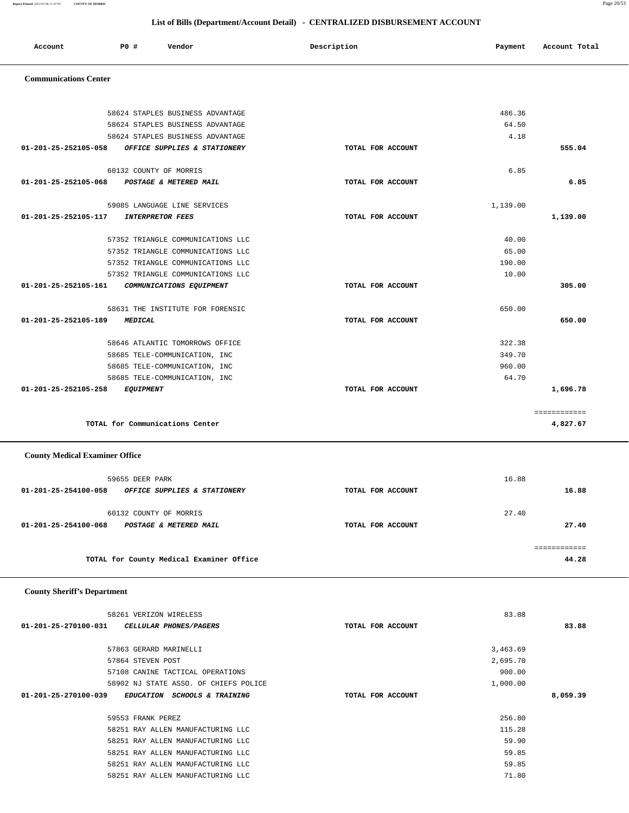**01-201-25-270100-031 CELLULAR PHONES/PAGERS TOTAL FOR ACCOUNT 83.88** 57863 GERARD MARINELLI 3,463.69 57864 STEVEN POST 2,695.70 57108 CANINE TACTICAL OPERATIONS 900.00 58902 NJ STATE ASSO. OF CHIEFS POLICE  $1,000.00$  **01-201-25-270100-039 EDUCATION SCHOOLS & TRAINING TOTAL FOR ACCOUNT 8,059.39** 59553 FRANK PEREZ 256.80 58251 RAY ALLEN MANUFACTURING LLC 115.28 58251 RAY ALLEN MANUFACTURING LLC 59.90 58251 RAY ALLEN MANUFACTURING LLC 59.85 58251 RAY ALLEN MANUFACTURING LLC 59.85

58251 RAY ALLEN MANUFACTURING LLC 71.80

58261 VERIZON WIRELESS 83.88

# **County Sheriff's Department**

 **County Medical Examiner Office**

| 59655 DEER PARK                                      |                   | 16.88 |
|------------------------------------------------------|-------------------|-------|
| 01-201-25-254100-058<br>OFFICE SUPPLIES & STATIONERY | TOTAL FOR ACCOUNT | 16.88 |
| 60132 COUNTY OF MORRIS                               |                   | 27.40 |
| 01-201-25-254100-068<br>POSTAGE & METERED MAIL       | TOTAL FOR ACCOUNT | 27.40 |
|                                                      |                   |       |
| TOTAL for County Medical Examiner Office             |                   | 44.28 |

**TOTAL for Communications Center 4,827.67**

# 58624 STAPLES BUSINESS ADVANTAGE 486.36 58624 STAPLES BUSINESS ADVANTAGE 64.50 58624 STAPLES BUSINESS ADVANTAGE 4.18  **01-201-25-252105-058 OFFICE SUPPLIES & STATIONERY TOTAL FOR ACCOUNT 555.04** 60132 COUNTY OF MORRIS 6.85  **01-201-25-252105-068 POSTAGE & METERED MAIL TOTAL FOR ACCOUNT 6.85** 59085 LANGUAGE LINE SERVICES 1,139.00  **01-201-25-252105-117 INTERPRETOR FEES TOTAL FOR ACCOUNT 1,139.00** 57352 TRIANGLE COMMUNICATIONS LLC 40.00 57352 TRIANGLE COMMUNICATIONS LLC 65.00 57352 TRIANGLE COMMUNICATIONS LLC 190.00 57352 TRIANGLE COMMUNICATIONS LLC 10.00  **01-201-25-252105-161 COMMUNICATIONS EQUIPMENT TOTAL FOR ACCOUNT 305.00** 58631 THE INSTITUTE FOR FORENSIC 650.00  **01-201-25-252105-189 MEDICAL TOTAL FOR ACCOUNT 650.00** 58646 ATLANTIC TOMORROWS OFFICE 322.38 58685 TELE-COMMUNICATION, INC 349.70 58685 TELE-COMMUNICATION, INC 960.00 58685 TELE-COMMUNICATION, INC 64.70  **01-201-25-252105-258 EQUIPMENT TOTAL FOR ACCOUNT 1,696.78** ============

### **Communications Center**

|  | List of Bills (Department/Account Detail) - CENTRALIZED DISBURSEMENT ACCOUNT |
|--|------------------------------------------------------------------------------|
|--|------------------------------------------------------------------------------|

 **Account P0 # Vendor Description Payment Account Total**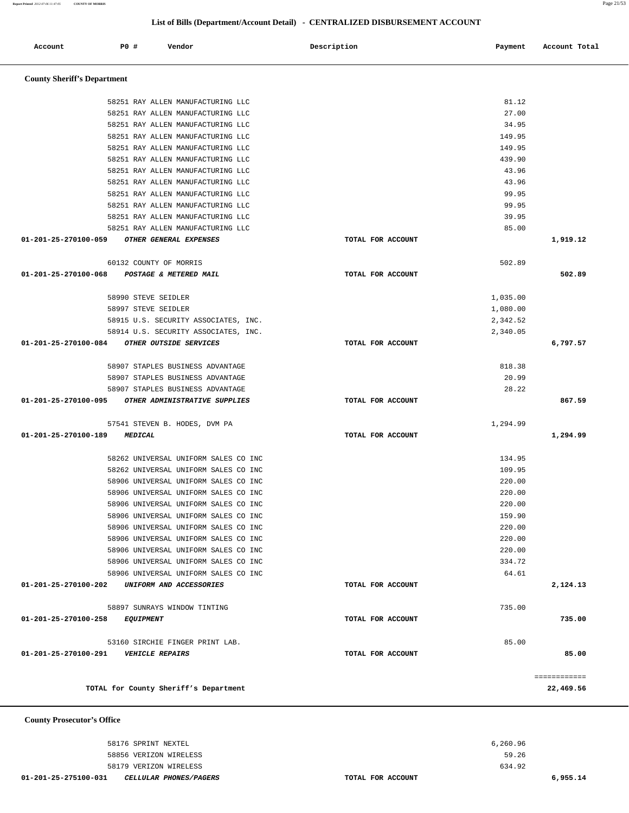| 01-201-25-275100-031<br><i>CELLULAR PHONES/PAGERS</i> | TOTAL FOR ACCOUNT | 6,955.14 |
|-------------------------------------------------------|-------------------|----------|
| 58179 VERIZON WIRELESS                                | 634.92            |          |
| 58856 VERIZON WIRELESS                                | 59.26             |          |
| 58176 SPRINT NEXTEL                                   | 6,260.96          |          |
|                                                       |                   |          |

### **County Prosecutor's Office**

| 58251 RAY ALLEN MANUFACTURING LLC                                            |                   | 27.00            |              |
|------------------------------------------------------------------------------|-------------------|------------------|--------------|
| 58251 RAY ALLEN MANUFACTURING LLC                                            |                   | 34.95            |              |
| 58251 RAY ALLEN MANUFACTURING LLC                                            |                   | 149.95           |              |
| 58251 RAY ALLEN MANUFACTURING LLC                                            |                   | 149.95           |              |
| 58251 RAY ALLEN MANUFACTURING LLC                                            |                   | 439.90           |              |
| 58251 RAY ALLEN MANUFACTURING LLC                                            |                   | 43.96            |              |
| 58251 RAY ALLEN MANUFACTURING LLC                                            |                   | 43.96            |              |
| 58251 RAY ALLEN MANUFACTURING LLC                                            |                   | 99.95            |              |
| 58251 RAY ALLEN MANUFACTURING LLC                                            |                   | 99.95            |              |
| 58251 RAY ALLEN MANUFACTURING LLC                                            |                   | 39.95            |              |
| 58251 RAY ALLEN MANUFACTURING LLC                                            |                   | 85.00            |              |
| 01-201-25-270100-059 OTHER GENERAL EXPENSES                                  | TOTAL FOR ACCOUNT |                  | 1,919.12     |
| 60132 COUNTY OF MORRIS                                                       |                   | 502.89           |              |
| 01-201-25-270100-068 POSTAGE & METERED MAIL                                  | TOTAL FOR ACCOUNT |                  | 502.89       |
| 58990 STEVE SEIDLER                                                          |                   | 1,035.00         |              |
| 58997 STEVE SEIDLER                                                          |                   | 1,080.00         |              |
| 58915 U.S. SECURITY ASSOCIATES, INC.                                         |                   | 2,342.52         |              |
| 58914 U.S. SECURITY ASSOCIATES, INC.                                         |                   | 2,340.05         |              |
| 01-201-25-270100-084 OTHER OUTSIDE SERVICES                                  | TOTAL FOR ACCOUNT |                  | 6,797.57     |
| 58907 STAPLES BUSINESS ADVANTAGE                                             |                   | 818.38           |              |
| 58907 STAPLES BUSINESS ADVANTAGE                                             |                   | 20.99            |              |
| 58907 STAPLES BUSINESS ADVANTAGE                                             |                   | 28.22            |              |
| 01-201-25-270100-095 OTHER ADMINISTRATIVE SUPPLIES                           | TOTAL FOR ACCOUNT |                  | 867.59       |
| 57541 STEVEN B. HODES, DVM PA                                                |                   | 1,294.99         |              |
| 01-201-25-270100-189 MEDICAL                                                 | TOTAL FOR ACCOUNT |                  | 1,294.99     |
|                                                                              |                   |                  |              |
| 58262 UNIVERSAL UNIFORM SALES CO INC                                         |                   | 134.95           |              |
| 58262 UNIVERSAL UNIFORM SALES CO INC                                         |                   | 109.95           |              |
| 58906 UNIVERSAL UNIFORM SALES CO INC<br>58906 UNIVERSAL UNIFORM SALES CO INC |                   | 220.00<br>220.00 |              |
| 58906 UNIVERSAL UNIFORM SALES CO INC                                         |                   | 220.00           |              |
| 58906 UNIVERSAL UNIFORM SALES CO INC                                         |                   | 159.90           |              |
| 58906 UNIVERSAL UNIFORM SALES CO INC                                         |                   | 220.00           |              |
| 58906 UNIVERSAL UNIFORM SALES CO INC                                         |                   | 220.00           |              |
| 58906 UNIVERSAL UNIFORM SALES CO INC                                         |                   | 220.00           |              |
| 58906 UNIVERSAL UNIFORM SALES CO INC                                         |                   | 334.72           |              |
| 58906 UNIVERSAL UNIFORM SALES CO INC                                         |                   | 64.61            |              |
| 01-201-25-270100-202<br>UNIFORM AND ACCESSORIES                              | TOTAL FOR ACCOUNT |                  | 2,124.13     |
| 58897 SUNRAYS WINDOW TINTING                                                 |                   | 735.00           |              |
| 01-201-25-270100-258<br><i>EQUIPMENT</i>                                     | TOTAL FOR ACCOUNT |                  | 735.00       |
|                                                                              |                   |                  |              |
| 53160 SIRCHIE FINGER PRINT LAB.<br>01-201-25-270100-291                      | TOTAL FOR ACCOUNT | 85.00            |              |
| <b>VEHICLE REPAIRS</b>                                                       |                   |                  | 85.00        |
|                                                                              |                   |                  | ============ |
| TOTAL for County Sheriff's Department                                        |                   |                  | 22,469.56    |

# **County Sheriff's Department**

| Account | <b>PO #</b> | Vendor | Description | Payment | Account Total |  |
|---------|-------------|--------|-------------|---------|---------------|--|

58251 RAY ALLEN MANUFACTURING LLC 81.12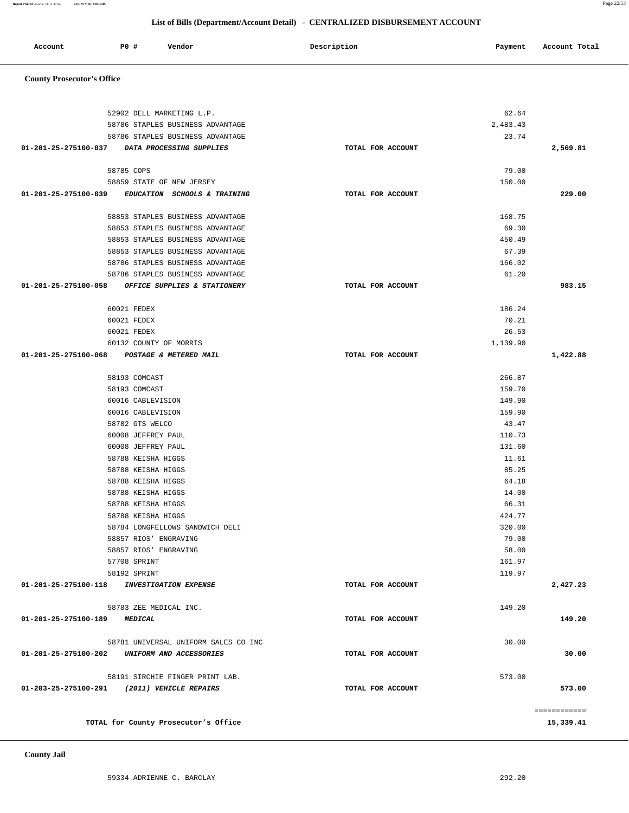**County Jail** 

| 52902 DELL MARKETING L.P.                             |                   | 62.64                     |        |
|-------------------------------------------------------|-------------------|---------------------------|--------|
| 58786 STAPLES BUSINESS ADVANTAGE                      |                   | 2,483.43                  |        |
| 58786 STAPLES BUSINESS ADVANTAGE                      |                   | 23.74                     |        |
| 01-201-25-275100-037 DATA PROCESSING SUPPLIES         | TOTAL FOR ACCOUNT | 2,569.81                  |        |
| 58785 COPS                                            |                   | 79.00                     |        |
| 58859 STATE OF NEW JERSEY                             |                   | 150.00                    |        |
| 01-201-25-275100-039 EDUCATION SCHOOLS & TRAINING     | TOTAL FOR ACCOUNT |                           | 229.00 |
| 58853 STAPLES BUSINESS ADVANTAGE                      |                   | 168.75                    |        |
| 58853 STAPLES BUSINESS ADVANTAGE                      |                   | 69.30                     |        |
| 58853 STAPLES BUSINESS ADVANTAGE                      |                   | 450.49                    |        |
| 58853 STAPLES BUSINESS ADVANTAGE                      |                   | 67.39                     |        |
| 58786 STAPLES BUSINESS ADVANTAGE                      |                   | 166.02                    |        |
| 58786 STAPLES BUSINESS ADVANTAGE                      |                   | 61.20                     |        |
| 01-201-25-275100-058 OFFICE SUPPLIES & STATIONERY     | TOTAL FOR ACCOUNT |                           | 983.15 |
|                                                       |                   |                           |        |
| 60021 FEDEX<br>60021 FEDEX                            |                   | 186.24<br>70.21           |        |
| 60021 FEDEX                                           |                   | 26.53                     |        |
| 60132 COUNTY OF MORRIS                                |                   | 1,139.90                  |        |
| 01-201-25-275100-068 POSTAGE & METERED MAIL           | TOTAL FOR ACCOUNT | 1,422.88                  |        |
|                                                       |                   |                           |        |
| 58193 COMCAST                                         |                   | 266.87                    |        |
| 58193 COMCAST                                         |                   | 159.70                    |        |
| 60016 CABLEVISION                                     |                   | 149.90                    |        |
| 60016 CABLEVISION                                     |                   | 159.90                    |        |
| 58782 GTS WELCO                                       |                   | 43.47                     |        |
| 60008 JEFFREY PAUL                                    |                   | 110.73                    |        |
| 60008 JEFFREY PAUL                                    |                   | 131.60                    |        |
| 58788 KEISHA HIGGS                                    |                   | 11.61                     |        |
| 58788 KEISHA HIGGS                                    |                   | 85.25                     |        |
| 58788 KEISHA HIGGS                                    |                   | 64.18                     |        |
| 58788 KEISHA HIGGS                                    |                   | 14.00                     |        |
| 58788 KEISHA HIGGS                                    |                   | 66.31                     |        |
| 58788 KEISHA HIGGS                                    |                   | 424.77                    |        |
| 58784 LONGFELLOWS SANDWICH DELI                       |                   | 320.00                    |        |
| 58857 RIOS' ENGRAVING                                 |                   | 79.00                     |        |
| 58857 RIOS' ENGRAVING                                 |                   | 58.00                     |        |
| 57708 SPRINT                                          |                   | 161.97                    |        |
| 58192 SPRINT                                          |                   | 119.97                    |        |
| 01-201-25-275100-118<br><b>INVESTIGATION EXPENSE</b>  | TOTAL FOR ACCOUNT | 2,427.23                  |        |
| 58783 ZEE MEDICAL INC.                                |                   | 149.20                    |        |
| 01-201-25-275100-189<br><b>MEDICAL</b>                | TOTAL FOR ACCOUNT |                           | 149.20 |
| 58781 UNIVERSAL UNIFORM SALES CO INC                  |                   | 30.00                     |        |
| 01-201-25-275100-202<br>UNIFORM AND ACCESSORIES       | TOTAL FOR ACCOUNT |                           | 30.00  |
| 58191 SIRCHIE FINGER PRINT LAB.                       |                   | 573.00                    |        |
| 01-203-25-275100-291<br><i>(2011) VEHICLE REPAIRS</i> | TOTAL FOR ACCOUNT |                           | 573.00 |
|                                                       |                   |                           |        |
| TOTAL for County Prosecutor's Office                  |                   | ============<br>15,339.41 |        |
|                                                       |                   |                           |        |

# **County Prosecutor's Office**

# Account P0 # Vendor Payment Account Total Description **Payment Account Total**

|            |     |        | List of Bills (Department/Account Detail) - CENTRALIZED DISBURSEMENT ACCOUNT |         |            |
|------------|-----|--------|------------------------------------------------------------------------------|---------|------------|
|            |     |        |                                                                              |         |            |
| $A$ ccount | חסד | Vendor | Description                                                                  | Dazmont | $A$ ccount |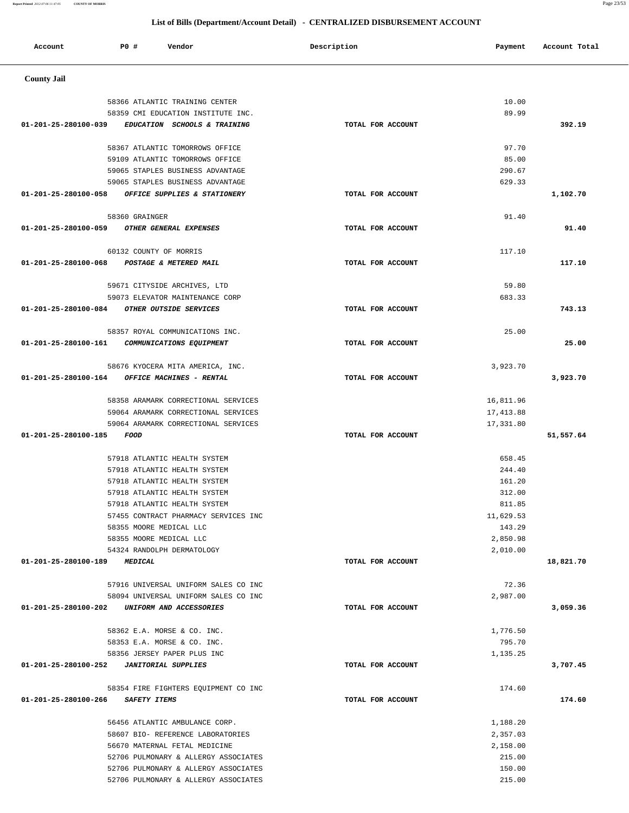| <b>County Jail</b>                                                 |                   |                    |           |
|--------------------------------------------------------------------|-------------------|--------------------|-----------|
| 58366 ATLANTIC TRAINING CENTER                                     |                   | 10.00              |           |
| 58359 CMI EDUCATION INSTITUTE INC.                                 |                   | 89.99              |           |
| 01-201-25-280100-039<br>EDUCATION SCHOOLS & TRAINING               | TOTAL FOR ACCOUNT |                    | 392.19    |
|                                                                    |                   |                    |           |
| 58367 ATLANTIC TOMORROWS OFFICE<br>59109 ATLANTIC TOMORROWS OFFICE |                   | 97.70<br>85.00     |           |
| 59065 STAPLES BUSINESS ADVANTAGE                                   |                   | 290.67             |           |
| 59065 STAPLES BUSINESS ADVANTAGE                                   |                   | 629.33             |           |
| 01-201-25-280100-058<br>OFFICE SUPPLIES & STATIONERY               | TOTAL FOR ACCOUNT |                    | 1,102.70  |
| 58360 GRAINGER                                                     |                   | 91.40              |           |
| OTHER GENERAL EXPENSES<br>01-201-25-280100-059                     | TOTAL FOR ACCOUNT |                    | 91.40     |
|                                                                    |                   |                    |           |
| 60132 COUNTY OF MORRIS                                             |                   | 117.10             |           |
| 01-201-25-280100-068<br>POSTAGE & METERED MAIL                     | TOTAL FOR ACCOUNT |                    | 117.10    |
|                                                                    |                   |                    |           |
| 59671 CITYSIDE ARCHIVES, LTD                                       |                   | 59.80              |           |
| 59073 ELEVATOR MAINTENANCE CORP                                    |                   | 683.33             |           |
| 01-201-25-280100-084<br>OTHER OUTSIDE SERVICES                     | TOTAL FOR ACCOUNT |                    | 743.13    |
| 58357 ROYAL COMMUNICATIONS INC.                                    |                   | 25.00              |           |
| 01-201-25-280100-161<br>COMMUNICATIONS EQUIPMENT                   | TOTAL FOR ACCOUNT |                    | 25.00     |
|                                                                    |                   |                    |           |
| 58676 KYOCERA MITA AMERICA, INC.                                   |                   | 3,923.70           |           |
| 01-201-25-280100-164<br>OFFICE MACHINES - RENTAL                   | TOTAL FOR ACCOUNT |                    | 3,923.70  |
|                                                                    |                   |                    |           |
| 58358 ARAMARK CORRECTIONAL SERVICES                                |                   | 16,811.96          |           |
| 59064 ARAMARK CORRECTIONAL SERVICES                                |                   | 17, 413.88         |           |
| 59064 ARAMARK CORRECTIONAL SERVICES                                |                   | 17,331.80          |           |
| 01-201-25-280100-185<br><b>FOOD</b>                                | TOTAL FOR ACCOUNT |                    | 51,557.64 |
| 57918 ATLANTIC HEALTH SYSTEM                                       |                   | 658.45             |           |
| 57918 ATLANTIC HEALTH SYSTEM                                       |                   | 244.40             |           |
| 57918 ATLANTIC HEALTH SYSTEM                                       |                   | 161.20             |           |
| 57918 ATLANTIC HEALTH SYSTEM                                       |                   | 312.00             |           |
| 57918 ATLANTIC HEALTH SYSTEM                                       |                   | 811.85             |           |
| 57455 CONTRACT PHARMACY SERVICES INC                               |                   | 11,629.53          |           |
| 58355 MOORE MEDICAL LLC                                            |                   | 143.29             |           |
| 58355 MOORE MEDICAL LLC                                            |                   | 2,850.98           |           |
| 54324 RANDOLPH DERMATOLOGY                                         |                   | 2,010.00           |           |
| 01-201-25-280100-189<br><b>MEDICAL</b>                             | TOTAL FOR ACCOUNT |                    | 18,821.70 |
| 57916 UNIVERSAL UNIFORM SALES CO INC                               |                   | 72.36              |           |
| 58094 UNIVERSAL UNIFORM SALES CO INC                               |                   | 2,987.00           |           |
| 01-201-25-280100-202<br>UNIFORM AND ACCESSORIES                    | TOTAL FOR ACCOUNT |                    | 3,059.36  |
|                                                                    |                   |                    |           |
| 58362 E.A. MORSE & CO. INC.                                        |                   | 1,776.50           |           |
| 58353 E.A. MORSE & CO. INC.<br>58356 JERSEY PAPER PLUS INC         |                   | 795.70<br>1,135.25 |           |
| 01-201-25-280100-252<br><b>JANITORIAL SUPPLIES</b>                 | TOTAL FOR ACCOUNT |                    | 3,707.45  |
|                                                                    |                   |                    |           |
| 58354 FIRE FIGHTERS EQUIPMENT CO INC                               |                   | 174.60             |           |
| 01-201-25-280100-266<br>SAFETY ITEMS                               | TOTAL FOR ACCOUNT |                    | 174.60    |
| 56456 ATLANTIC AMBULANCE CORP.                                     |                   | 1,188.20           |           |
| 58607 BIO- REFERENCE LABORATORIES                                  |                   | 2,357.03           |           |
| 56670 MATERNAL FETAL MEDICINE                                      |                   | 2,158.00           |           |
| 52706 PULMONARY & ALLERGY ASSOCIATES                               |                   | 215.00             |           |
| 52706 PULMONARY & ALLERGY ASSOCIATES                               |                   | 150.00             |           |
| 52706 PULMONARY & ALLERGY ASSOCIATES                               |                   | 215.00             |           |

Account **PO #** Vendor **Payment Payment Payment** Payment Paccount Total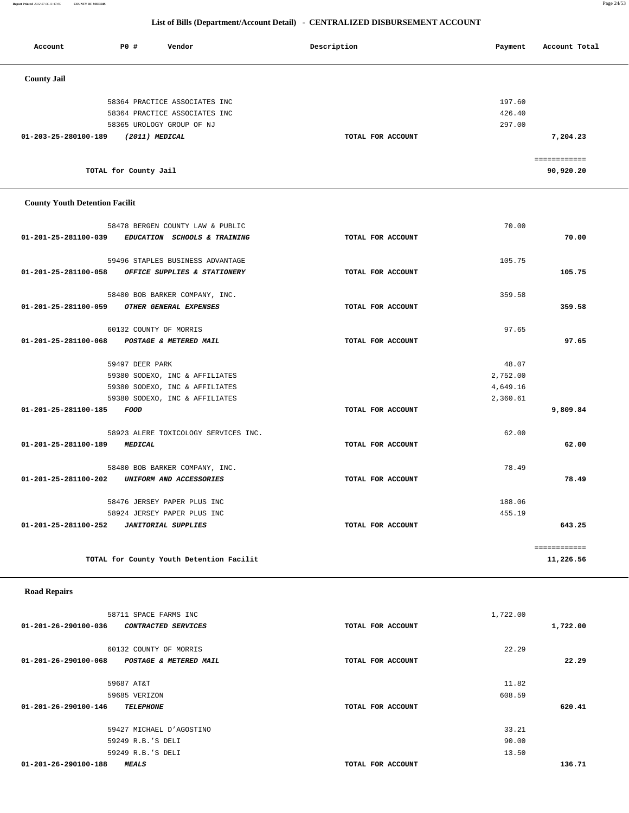**Report Printed** *2012-07-06 11:47:05* **COUNTY OF MORRIS** Page 24/53

# **List of Bills (Department/Account Detail) - CENTRALIZED DISBURSEMENT ACCOUNT**

| Account              | <b>PO #</b>           | Vendor                        | Description       | Account Total<br>Payment |
|----------------------|-----------------------|-------------------------------|-------------------|--------------------------|
| <b>County Jail</b>   |                       |                               |                   |                          |
|                      |                       | 58364 PRACTICE ASSOCIATES INC |                   | 197.60                   |
|                      |                       | 58364 PRACTICE ASSOCIATES INC |                   | 426.40                   |
|                      |                       | 58365 UROLOGY GROUP OF NJ     |                   | 297.00                   |
| 01-203-25-280100-189 | (2011) MEDICAL        |                               | TOTAL FOR ACCOUNT | 7,204.23                 |
|                      |                       |                               |                   | ============             |
|                      | TOTAL for County Jail |                               |                   | 90,920.20                |
|                      |                       |                               |                   |                          |

# **County Youth Detention Facilit**

| 58478 BERGEN COUNTY LAW & PUBLIC                     |                   | 70.00        |
|------------------------------------------------------|-------------------|--------------|
| 01-201-25-281100-039<br>EDUCATION SCHOOLS & TRAINING | TOTAL FOR ACCOUNT | 70.00        |
| 59496 STAPLES BUSINESS ADVANTAGE                     |                   | 105.75       |
| 01-201-25-281100-058 OFFICE SUPPLIES & STATIONERY    | TOTAL FOR ACCOUNT | 105.75       |
|                                                      |                   |              |
| 58480 BOB BARKER COMPANY, INC.                       |                   | 359.58       |
| 01-201-25-281100-059 OTHER GENERAL EXPENSES          | TOTAL FOR ACCOUNT | 359.58       |
| 60132 COUNTY OF MORRIS                               |                   | 97.65        |
| 01-201-25-281100-068 POSTAGE & METERED MAIL          | TOTAL FOR ACCOUNT | 97.65        |
| 59497 DEER PARK                                      |                   | 48.07        |
| 59380 SODEXO, INC & AFFILIATES                       |                   | 2,752.00     |
| 59380 SODEXO, INC & AFFILIATES                       |                   | 4,649.16     |
| 59380 SODEXO, INC & AFFILIATES                       |                   | 2,360.61     |
| 01-201-25-281100-185<br>FOOD                         | TOTAL FOR ACCOUNT | 9,809.84     |
| 58923 ALERE TOXICOLOGY SERVICES INC.                 |                   | 62.00        |
| 01-201-25-281100-189 MEDICAL                         | TOTAL FOR ACCOUNT | 62.00        |
| 58480 BOB BARKER COMPANY, INC.                       |                   | 78.49        |
| 01-201-25-281100-202 UNIFORM AND ACCESSORIES         | TOTAL FOR ACCOUNT | 78.49        |
| 58476 JERSEY PAPER PLUS INC                          |                   | 188.06       |
| 58924 JERSEY PAPER PLUS INC                          |                   | 455.19       |
|                                                      | TOTAL FOR ACCOUNT | 643.25       |
|                                                      |                   | ============ |
| TOTAL for County Youth Detention Facilit             |                   | 11,226.56    |
|                                                      |                   |              |

# **Road Repairs**

| 58711 SPACE FARMS INC                          |                   | 1,722.00 |          |
|------------------------------------------------|-------------------|----------|----------|
| 01-201-26-290100-036<br>CONTRACTED SERVICES    | TOTAL FOR ACCOUNT |          | 1,722.00 |
|                                                |                   |          |          |
| 60132 COUNTY OF MORRIS                         |                   | 22.29    |          |
| 01-201-26-290100-068<br>POSTAGE & METERED MAIL | TOTAL FOR ACCOUNT |          | 22.29    |
|                                                |                   |          |          |
| 59687 AT&T                                     |                   | 11.82    |          |
| 59685 VERIZON                                  |                   | 608.59   |          |
| 01-201-26-290100-146<br><b>TELEPHONE</b>       | TOTAL FOR ACCOUNT |          | 620.41   |
|                                                |                   |          |          |
| 59427 MICHAEL D'AGOSTINO                       |                   | 33.21    |          |
| 59249 R.B.'S DELI                              |                   | 90.00    |          |
| 59249 R.B.'S DELI                              |                   | 13.50    |          |
| 01-201-26-290100-188<br><b>MEALS</b>           | TOTAL FOR ACCOUNT |          | 136.71   |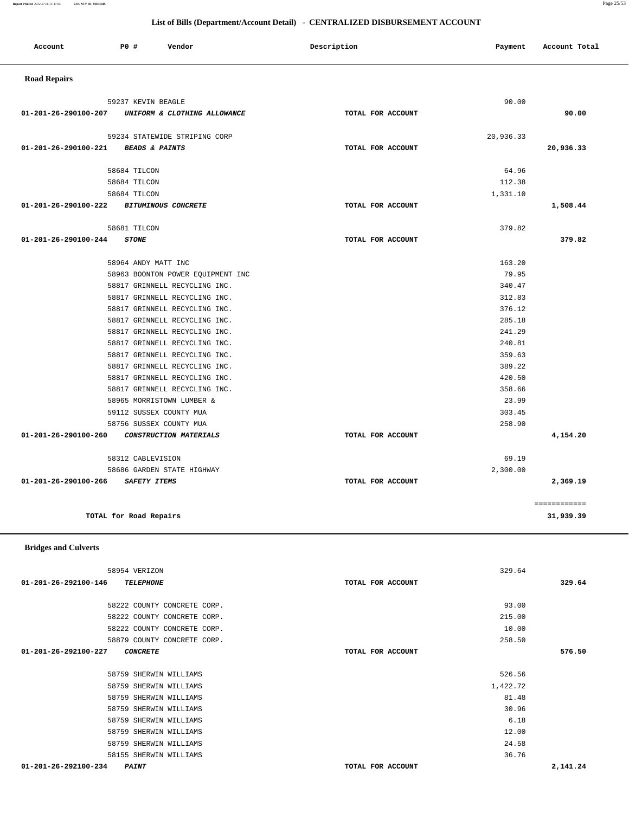58222 COUNTY CONCRETE CORP. 93.00 58222 COUNTY CONCRETE CORP. 215.00 58222 COUNTY CONCRETE CORP. 10.00 58879 COUNTY CONCRETE CORP. 258.50  **01-201-26-292100-227 CONCRETE TOTAL FOR ACCOUNT 576.50** 58759 SHERWIN WILLIAMS 526.56 58759 SHERWIN WILLIAMS 1,422.72 58759 SHERWIN WILLIAMS 81.48 58759 SHERWIN WILLIAMS 30.96 58759 SHERWIN WILLIAMS 6.18 58759 SHERWIN WILLIAMS 12.00 58759 SHERWIN WILLIAMS 24.58 58155 SHERWIN WILLIAMS 36.76  **01-201-26-292100-234 PAINT TOTAL FOR ACCOUNT 2,141.24**

 58954 VERIZON 329.64  **01-201-26-292100-146 TELEPHONE TOTAL FOR ACCOUNT 329.64**

 **Bridges and Culverts** 

| UNIFORM & CLOTHING ALLOWANCE<br>59234 STATEWIDE STRIPING CORP<br><b>BEADS &amp; PAINTS</b><br>58684 TILCON<br>58684 TILCON<br>58684 TILCON<br><b>BITUMINOUS CONCRETE</b><br>58681 TILCON<br><b>STONE</b><br>58964 ANDY MATT INC<br>58963 BOONTON POWER EQUIPMENT INC | TOTAL FOR ACCOUNT<br>TOTAL FOR ACCOUNT<br>TOTAL FOR ACCOUNT<br>TOTAL FOR ACCOUNT | 20,936.33<br>64.96<br>112.38<br>1,331.10<br>379.82 | 90.00<br>20,936.33<br>1,508.44<br>379.82 |
|----------------------------------------------------------------------------------------------------------------------------------------------------------------------------------------------------------------------------------------------------------------------|----------------------------------------------------------------------------------|----------------------------------------------------|------------------------------------------|
|                                                                                                                                                                                                                                                                      |                                                                                  |                                                    |                                          |
|                                                                                                                                                                                                                                                                      |                                                                                  |                                                    |                                          |
|                                                                                                                                                                                                                                                                      |                                                                                  |                                                    |                                          |
|                                                                                                                                                                                                                                                                      |                                                                                  |                                                    |                                          |
|                                                                                                                                                                                                                                                                      |                                                                                  |                                                    |                                          |
|                                                                                                                                                                                                                                                                      |                                                                                  |                                                    |                                          |
|                                                                                                                                                                                                                                                                      |                                                                                  |                                                    |                                          |
|                                                                                                                                                                                                                                                                      |                                                                                  |                                                    |                                          |
|                                                                                                                                                                                                                                                                      |                                                                                  |                                                    |                                          |
|                                                                                                                                                                                                                                                                      |                                                                                  | 163.20                                             |                                          |
|                                                                                                                                                                                                                                                                      |                                                                                  | 79.95                                              |                                          |
| 58817 GRINNELL RECYCLING INC.                                                                                                                                                                                                                                        |                                                                                  | 340.47                                             |                                          |
| 58817 GRINNELL RECYCLING INC.                                                                                                                                                                                                                                        |                                                                                  | 312.83                                             |                                          |
| 58817 GRINNELL RECYCLING INC.                                                                                                                                                                                                                                        |                                                                                  | 376.12                                             |                                          |
| 58817 GRINNELL RECYCLING INC.                                                                                                                                                                                                                                        |                                                                                  | 285.18                                             |                                          |
| 58817 GRINNELL RECYCLING INC.                                                                                                                                                                                                                                        |                                                                                  | 241.29                                             |                                          |
| 58817 GRINNELL RECYCLING INC.                                                                                                                                                                                                                                        |                                                                                  | 240.81                                             |                                          |
| 58817 GRINNELL RECYCLING INC.                                                                                                                                                                                                                                        |                                                                                  | 359.63                                             |                                          |
| 58817 GRINNELL RECYCLING INC.                                                                                                                                                                                                                                        |                                                                                  | 389.22                                             |                                          |
| 58817 GRINNELL RECYCLING INC.                                                                                                                                                                                                                                        |                                                                                  | 420.50                                             |                                          |
| 58817 GRINNELL RECYCLING INC.                                                                                                                                                                                                                                        |                                                                                  | 358.66                                             |                                          |
| 58965 MORRISTOWN LUMBER &                                                                                                                                                                                                                                            |                                                                                  | 23.99                                              |                                          |
| 59112 SUSSEX COUNTY MUA                                                                                                                                                                                                                                              |                                                                                  | 303.45                                             |                                          |
| 58756 SUSSEX COUNTY MUA                                                                                                                                                                                                                                              |                                                                                  | 258.90                                             |                                          |
| CONSTRUCTION MATERIALS                                                                                                                                                                                                                                               | TOTAL FOR ACCOUNT                                                                |                                                    | 4,154.20                                 |
| 58312 CABLEVISION                                                                                                                                                                                                                                                    |                                                                                  | 69.19                                              |                                          |
| 58686 GARDEN STATE HIGHWAY                                                                                                                                                                                                                                           |                                                                                  | 2,300.00                                           |                                          |
| <b>SAFETY ITEMS</b>                                                                                                                                                                                                                                                  | TOTAL FOR ACCOUNT                                                                |                                                    | 2,369.19                                 |
|                                                                                                                                                                                                                                                                      |                                                                                  |                                                    | ============                             |
|                                                                                                                                                                                                                                                                      | TOTAL for Road Repairs                                                           |                                                    |                                          |

**Report Printed** *2012-07-06 11:47:05* **COUNTY OF MORRIS** Page 25/53

# **List of Bills (Department/Account Detail) - CENTRALIZED DISBURSEMENT ACCOUNT**

Account **PO #** Vendor **Description Payment Account Total**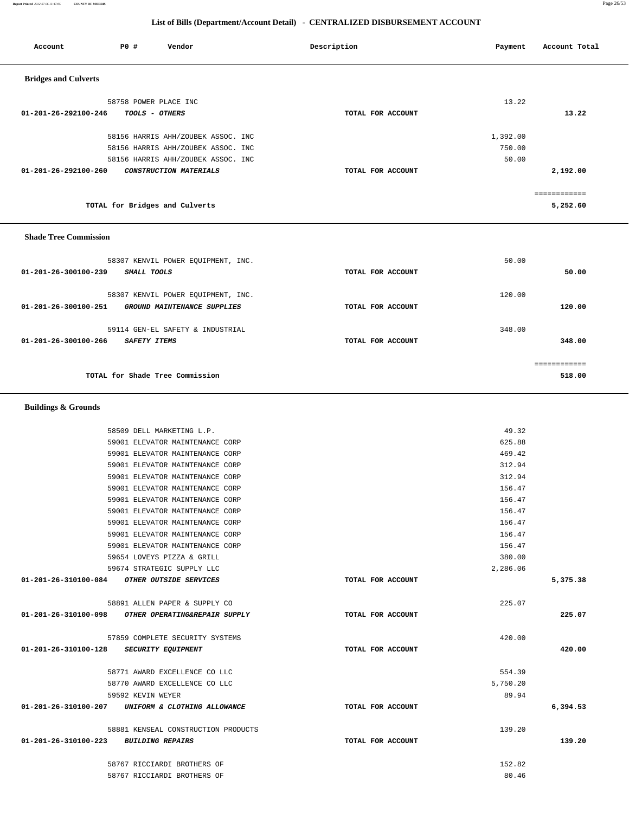| <b>Buildings &amp; Grounds</b> |                                     |                   |          |          |
|--------------------------------|-------------------------------------|-------------------|----------|----------|
|                                | 58509 DELL MARKETING L.P.           |                   | 49.32    |          |
|                                | 59001 ELEVATOR MAINTENANCE CORP     |                   | 625.88   |          |
|                                | 59001 ELEVATOR MAINTENANCE CORP     |                   | 469.42   |          |
|                                | 59001 ELEVATOR MAINTENANCE CORP     |                   | 312.94   |          |
|                                | 59001 ELEVATOR MAINTENANCE CORP     |                   | 312.94   |          |
|                                | 59001 ELEVATOR MAINTENANCE CORP     |                   | 156.47   |          |
|                                | 59001 ELEVATOR MAINTENANCE CORP     |                   | 156.47   |          |
|                                | 59001 ELEVATOR MAINTENANCE CORP     |                   | 156.47   |          |
|                                | 59001 ELEVATOR MAINTENANCE CORP     |                   | 156.47   |          |
|                                | 59001 ELEVATOR MAINTENANCE CORP     |                   | 156.47   |          |
|                                | 59001 ELEVATOR MAINTENANCE CORP     |                   | 156.47   |          |
|                                | 59654 LOVEYS PIZZA & GRILL          |                   | 380.00   |          |
|                                | 59674 STRATEGIC SUPPLY LLC          |                   | 2,286.06 |          |
| 01-201-26-310100-084           | OTHER OUTSIDE SERVICES              | TOTAL FOR ACCOUNT |          | 5,375.38 |
|                                | 58891 ALLEN PAPER & SUPPLY CO       |                   | 225.07   |          |
| 01-201-26-310100-098           | OTHER OPERATING&REPAIR SUPPLY       | TOTAL FOR ACCOUNT |          | 225.07   |
|                                | 57859 COMPLETE SECURITY SYSTEMS     |                   | 420.00   |          |
| 01-201-26-310100-128           | <b>SECURITY EQUIPMENT</b>           | TOTAL FOR ACCOUNT |          | 420.00   |
|                                | 58771 AWARD EXCELLENCE CO LLC       |                   | 554.39   |          |
|                                | 58770 AWARD EXCELLENCE CO LLC       |                   | 5,750.20 |          |
|                                | 59592 KEVIN WEYER                   |                   | 89.94    |          |
| 01-201-26-310100-207           | UNIFORM & CLOTHING ALLOWANCE        | TOTAL FOR ACCOUNT |          | 6,394.53 |
|                                | 58881 KENSEAL CONSTRUCTION PRODUCTS |                   | 139.20   |          |
| 01-201-26-310100-223           | <b>BUILDING REPAIRS</b>             | TOTAL FOR ACCOUNT |          | 139.20   |
|                                | 58767 RICCIARDI BROTHERS OF         |                   | 152.82   |          |
|                                | 58767 RICCIARDI BROTHERS OF         |                   | 80.46    |          |

| <b>Shade Tree Commission</b>                        |                   |        |        |
|-----------------------------------------------------|-------------------|--------|--------|
| 58307 KENVIL POWER EQUIPMENT, INC.                  |                   | 50.00  |        |
| 01-201-26-300100-239<br>SMALL TOOLS                 | TOTAL FOR ACCOUNT |        | 50.00  |
| 58307 KENVIL POWER EQUIPMENT, INC.                  |                   | 120.00 |        |
| 01-201-26-300100-251<br>GROUND MAINTENANCE SUPPLIES | TOTAL FOR ACCOUNT |        | 120.00 |
|                                                     |                   |        |        |
| 59114 GEN-EL SAFETY & INDUSTRIAL                    |                   | 348.00 |        |
| 01-201-26-300100-266<br><b>SAFETY ITEMS</b>         | TOTAL FOR ACCOUNT |        | 348.00 |
|                                                     |                   |        |        |
|                                                     |                   |        |        |
| TOTAL for Shade Tree Commission                     |                   |        | 518.00 |

============

**TOTAL for Bridges and Culverts 5,252.60**

|                                | 58758 POWER PLACE INC              | 13.22             |          |
|--------------------------------|------------------------------------|-------------------|----------|
| 01-201-26-292100-246           | <i>TOOLS - OTHERS</i>              | TOTAL FOR ACCOUNT | 13.22    |
|                                | 58156 HARRIS AHH/ZOUBEK ASSOC. INC | 1,392.00          |          |
|                                | 58156 HARRIS AHH/ZOUBEK ASSOC. INC | 750.00            |          |
|                                | 58156 HARRIS AHH/ZOUBEK ASSOC. INC | 50.00             |          |
| $01 - 201 - 26 - 292100 - 260$ | <i>CONSTRUCTION MATERIALS</i>      | TOTAL FOR ACCOUNT | 2,192.00 |
|                                |                                    |                   |          |

# **List of Bills (Department/Account Detail) - CENTRALIZED DISBURSEMENT ACCOUNT**

Account **PO #** Vendor **Payment Payment Payment** Payment Payment Payment Account Total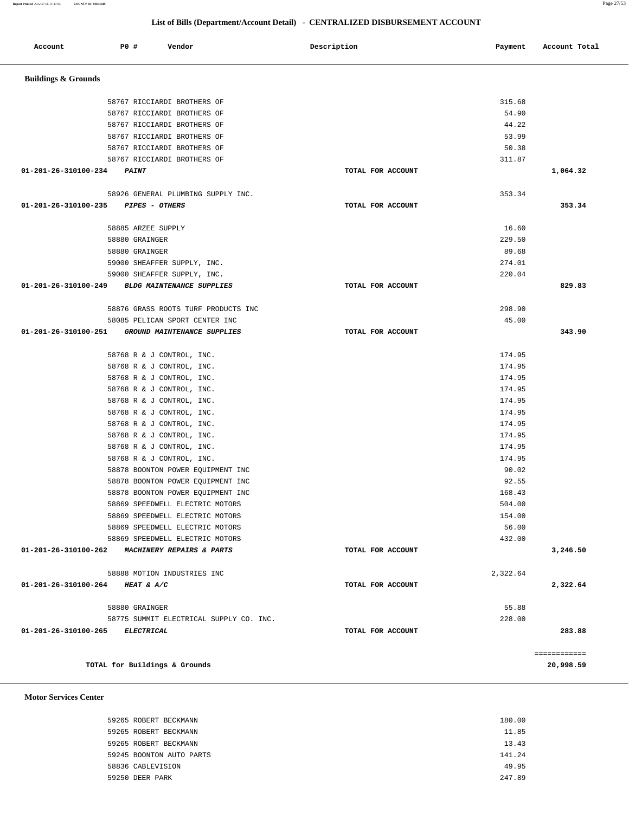| Account                         | P0 #                          | Vendor                                         | Description       | Payment  | Account Total |
|---------------------------------|-------------------------------|------------------------------------------------|-------------------|----------|---------------|
| <b>Buildings &amp; Grounds</b>  |                               |                                                |                   |          |               |
|                                 |                               | 58767 RICCIARDI BROTHERS OF                    |                   | 315.68   |               |
|                                 |                               | 58767 RICCIARDI BROTHERS OF                    |                   | 54.90    |               |
|                                 |                               | 58767 RICCIARDI BROTHERS OF                    |                   | 44.22    |               |
|                                 |                               | 58767 RICCIARDI BROTHERS OF                    |                   | 53.99    |               |
|                                 |                               | 58767 RICCIARDI BROTHERS OF                    |                   | 50.38    |               |
|                                 |                               | 58767 RICCIARDI BROTHERS OF                    |                   | 311.87   |               |
| 01-201-26-310100-234            | <b>PAINT</b>                  |                                                | TOTAL FOR ACCOUNT |          | 1,064.32      |
|                                 |                               | 58926 GENERAL PLUMBING SUPPLY INC.             |                   | 353.34   |               |
| 01-201-26-310100-235            | <i>PIPES - OTHERS</i>         |                                                | TOTAL FOR ACCOUNT |          | 353.34        |
|                                 | 58885 ARZEE SUPPLY            |                                                |                   | 16.60    |               |
|                                 | 58880 GRAINGER                |                                                |                   | 229.50   |               |
|                                 | 58880 GRAINGER                |                                                |                   | 89.68    |               |
|                                 |                               | 59000 SHEAFFER SUPPLY, INC.                    |                   | 274.01   |               |
|                                 |                               | 59000 SHEAFFER SUPPLY, INC.                    |                   | 220.04   |               |
| 01-201-26-310100-249            |                               | <b>BLDG MAINTENANCE SUPPLIES</b>               | TOTAL FOR ACCOUNT |          | 829.83        |
|                                 |                               | 58876 GRASS ROOTS TURF PRODUCTS INC            |                   | 298.90   |               |
|                                 |                               | 58085 PELICAN SPORT CENTER INC                 |                   | 45.00    |               |
| 01-201-26-310100-251            |                               | GROUND MAINTENANCE SUPPLIES                    | TOTAL FOR ACCOUNT |          | 343.90        |
|                                 |                               | 58768 R & J CONTROL, INC.                      |                   | 174.95   |               |
|                                 |                               | 58768 R & J CONTROL, INC.                      |                   | 174.95   |               |
|                                 |                               | 58768 R & J CONTROL, INC.                      |                   | 174.95   |               |
|                                 |                               | 58768 R & J CONTROL, INC.                      |                   | 174.95   |               |
|                                 |                               | 58768 R & J CONTROL, INC.                      |                   | 174.95   |               |
|                                 |                               | 58768 R & J CONTROL, INC.                      |                   | 174.95   |               |
|                                 |                               | 58768 R & J CONTROL, INC.                      |                   | 174.95   |               |
|                                 |                               | 58768 R & J CONTROL, INC.                      |                   | 174.95   |               |
|                                 |                               | 58768 R & J CONTROL, INC.                      |                   | 174.95   |               |
|                                 |                               | 58768 R & J CONTROL, INC.                      |                   | 174.95   |               |
|                                 |                               | 58878 BOONTON POWER EQUIPMENT INC              |                   | 90.02    |               |
|                                 |                               | 58878 BOONTON POWER EQUIPMENT INC              |                   | 92.55    |               |
|                                 |                               | 58878 BOONTON POWER EQUIPMENT INC              |                   | 168.43   |               |
|                                 |                               | 58869 SPEEDWELL ELECTRIC MOTORS                |                   | 504.00   |               |
|                                 |                               | 58869 SPEEDWELL ELECTRIC MOTORS                |                   | 154.00   |               |
|                                 |                               | 58869 SPEEDWELL ELECTRIC MOTORS                |                   | 56.00    |               |
|                                 |                               | 58869 SPEEDWELL ELECTRIC MOTORS                |                   | 432.00   |               |
|                                 |                               | 01-201-26-310100-262 MACHINERY REPAIRS & PARTS | TOTAL FOR ACCOUNT |          | 3,246.50      |
|                                 |                               | 58888 MOTION INDUSTRIES INC                    |                   | 2,322.64 |               |
| 01-201-26-310100-264 HEAT & A/C |                               |                                                | TOTAL FOR ACCOUNT |          | 2,322.64      |
|                                 | 58880 GRAINGER                |                                                |                   | 55.88    |               |
|                                 |                               | 58775 SUMMIT ELECTRICAL SUPPLY CO. INC.        |                   | 228.00   |               |
| 01-201-26-310100-265 ELECTRICAL |                               |                                                | TOTAL FOR ACCOUNT |          | 283.88        |
|                                 |                               |                                                |                   |          | ============  |
|                                 | TOTAL for Buildings & Grounds |                                                |                   |          | 20,998.59     |

 **Motor Services Center** 

| 59265 ROBERT BECKMANN    | 180.00 |
|--------------------------|--------|
| 59265 ROBERT BECKMANN    | 11.85  |
| 59265 ROBERT BECKMANN    | 13.43  |
| 59245 BOONTON AUTO PARTS | 141.24 |
| 58836 CABLEVISION        | 49.95  |
| 59250 DEER PARK          | 247.89 |
|                          |        |

# **List of Bills (Department/Account Detail) - CENTRALIZED DISBURSEMENT ACCOUNT**

**Report Printed** *2012-07-06 11:47:05* **COUNTY OF MORRIS** Page 27/53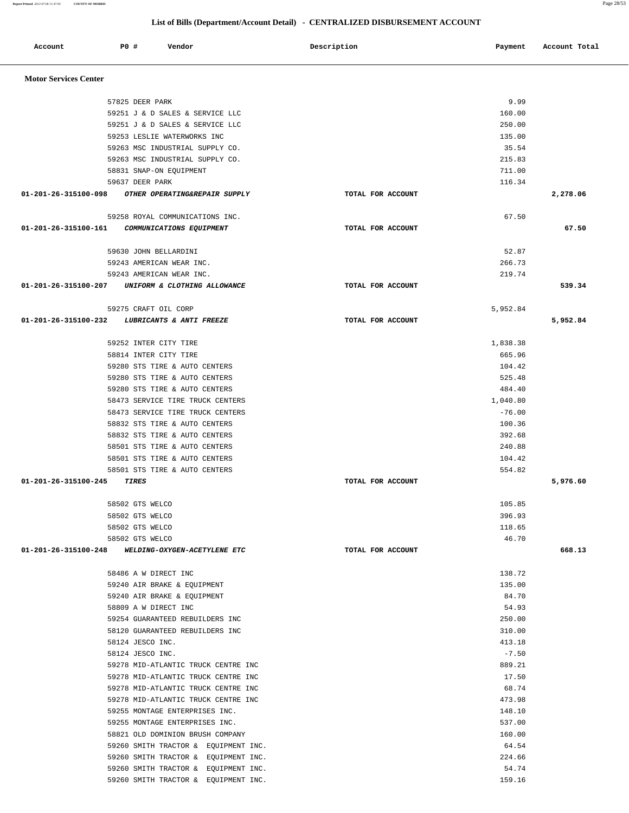| Account                      | P0 # | Vendor                                                                       | Description       | Payment         | Account Total |
|------------------------------|------|------------------------------------------------------------------------------|-------------------|-----------------|---------------|
|                              |      |                                                                              |                   |                 |               |
| <b>Motor Services Center</b> |      |                                                                              |                   |                 |               |
|                              |      | 57825 DEER PARK                                                              |                   | 9.99            |               |
|                              |      | 59251 J & D SALES & SERVICE LLC                                              |                   | 160.00          |               |
|                              |      | 59251 J & D SALES & SERVICE LLC                                              |                   | 250.00          |               |
|                              |      | 59253 LESLIE WATERWORKS INC                                                  |                   | 135.00          |               |
|                              |      | 59263 MSC INDUSTRIAL SUPPLY CO.                                              |                   | 35.54           |               |
|                              |      | 59263 MSC INDUSTRIAL SUPPLY CO.                                              |                   | 215.83          |               |
|                              |      | 58831 SNAP-ON EQUIPMENT                                                      |                   | 711.00          |               |
|                              |      | 59637 DEER PARK                                                              |                   | 116.34          |               |
| 01-201-26-315100-098         |      | OTHER OPERATING&REPAIR SUPPLY                                                | TOTAL FOR ACCOUNT |                 | 2,278.06      |
|                              |      | 59258 ROYAL COMMUNICATIONS INC.                                              |                   | 67.50           |               |
| 01-201-26-315100-161         |      | COMMUNICATIONS EQUIPMENT                                                     | TOTAL FOR ACCOUNT |                 | 67.50         |
|                              |      | 59630 JOHN BELLARDINI                                                        |                   | 52.87           |               |
|                              |      | 59243 AMERICAN WEAR INC.                                                     |                   | 266.73          |               |
|                              |      | 59243 AMERICAN WEAR INC.                                                     |                   | 219.74          |               |
| 01-201-26-315100-207         |      | UNIFORM & CLOTHING ALLOWANCE                                                 | TOTAL FOR ACCOUNT |                 | 539.34        |
|                              |      | 59275 CRAFT OIL CORP                                                         |                   | 5,952.84        |               |
| 01-201-26-315100-232         |      | LUBRICANTS & ANTI FREEZE                                                     | TOTAL FOR ACCOUNT |                 | 5,952.84      |
|                              |      | 59252 INTER CITY TIRE                                                        |                   | 1,838.38        |               |
|                              |      | 58814 INTER CITY TIRE                                                        |                   | 665.96          |               |
|                              |      | 59280 STS TIRE & AUTO CENTERS                                                |                   | 104.42          |               |
|                              |      | 59280 STS TIRE & AUTO CENTERS                                                |                   | 525.48          |               |
|                              |      | 59280 STS TIRE & AUTO CENTERS                                                |                   | 484.40          |               |
|                              |      | 58473 SERVICE TIRE TRUCK CENTERS                                             |                   | 1,040.80        |               |
|                              |      | 58473 SERVICE TIRE TRUCK CENTERS                                             |                   | $-76.00$        |               |
|                              |      | 58832 STS TIRE & AUTO CENTERS                                                |                   | 100.36          |               |
|                              |      | 58832 STS TIRE & AUTO CENTERS                                                |                   | 392.68          |               |
|                              |      | 58501 STS TIRE & AUTO CENTERS                                                |                   | 240.88          |               |
|                              |      | 58501 STS TIRE & AUTO CENTERS                                                |                   | 104.42          |               |
|                              |      | 58501 STS TIRE & AUTO CENTERS                                                |                   | 554.82          |               |
| 01-201-26-315100-245         |      | <b>TIRES</b>                                                                 | TOTAL FOR ACCOUNT |                 | 5,976.60      |
|                              |      | 58502 GTS WELCO                                                              |                   | 105.85          |               |
|                              |      | 58502 GTS WELCO                                                              |                   | 396.93          |               |
|                              |      | 58502 GTS WELCO                                                              |                   | 118.65          |               |
|                              |      | 58502 GTS WELCO                                                              |                   | 46.70           |               |
| 01-201-26-315100-248         |      | WELDING-OXYGEN-ACETYLENE ETC                                                 | TOTAL FOR ACCOUNT |                 | 668.13        |
|                              |      | 58486 A W DIRECT INC                                                         |                   | 138.72          |               |
|                              |      | 59240 AIR BRAKE & EQUIPMENT                                                  |                   | 135.00          |               |
|                              |      | 59240 AIR BRAKE & EQUIPMENT                                                  |                   | 84.70           |               |
|                              |      | 58809 A W DIRECT INC                                                         |                   | 54.93           |               |
|                              |      | 59254 GUARANTEED REBUILDERS INC                                              |                   | 250.00          |               |
|                              |      | 58120 GUARANTEED REBUILDERS INC                                              |                   | 310.00          |               |
|                              |      | 58124 JESCO INC.                                                             |                   | 413.18          |               |
|                              |      | 58124 JESCO INC.                                                             |                   | $-7.50$         |               |
|                              |      | 59278 MID-ATLANTIC TRUCK CENTRE INC                                          |                   | 889.21          |               |
|                              |      | 59278 MID-ATLANTIC TRUCK CENTRE INC                                          |                   | 17.50           |               |
|                              |      | 59278 MID-ATLANTIC TRUCK CENTRE INC                                          |                   | 68.74           |               |
|                              |      | 59278 MID-ATLANTIC TRUCK CENTRE INC                                          |                   | 473.98          |               |
|                              |      | 59255 MONTAGE ENTERPRISES INC.                                               |                   | 148.10          |               |
|                              |      | 59255 MONTAGE ENTERPRISES INC.                                               |                   | 537.00          |               |
|                              |      | 58821 OLD DOMINION BRUSH COMPANY                                             |                   | 160.00          |               |
|                              |      | 59260 SMITH TRACTOR & EQUIPMENT INC.                                         |                   | 64.54           |               |
|                              |      | 59260 SMITH TRACTOR & EQUIPMENT INC.                                         |                   | 224.66          |               |
|                              |      | 59260 SMITH TRACTOR & EQUIPMENT INC.<br>59260 SMITH TRACTOR & EQUIPMENT INC. |                   | 54.74<br>159.16 |               |
|                              |      |                                                                              |                   |                 |               |

 **List of Bills (Department/Account Detail) - CENTRALIZED DISBURSEMENT ACCOUNT**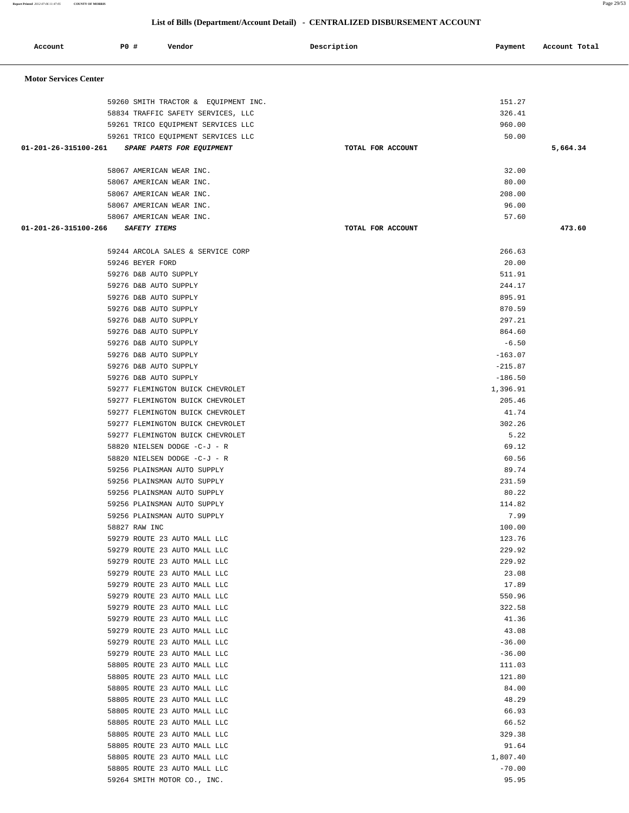**Report Printed** *2012-07-06 11:47:05* **COUNTY OF MORRIS** Page 29/53

# **List of Bills (Department/Account Detail) - CENTRALIZED DISBURSEMENT ACCOUNT**

| Account                      | P0 #             | Vendor                                                                     | Description       | Payment           | Account Total |
|------------------------------|------------------|----------------------------------------------------------------------------|-------------------|-------------------|---------------|
|                              |                  |                                                                            |                   |                   |               |
| <b>Motor Services Center</b> |                  |                                                                            |                   |                   |               |
|                              |                  |                                                                            |                   |                   |               |
|                              |                  | 59260 SMITH TRACTOR & EQUIPMENT INC.<br>58834 TRAFFIC SAFETY SERVICES, LLC |                   | 151.27<br>326.41  |               |
|                              |                  | 59261 TRICO EQUIPMENT SERVICES LLC                                         |                   | 960.00            |               |
|                              |                  | 59261 TRICO EQUIPMENT SERVICES LLC                                         |                   | 50.00             |               |
| 01-201-26-315100-261         |                  | SPARE PARTS FOR EQUIPMENT                                                  | TOTAL FOR ACCOUNT |                   | 5,664.34      |
|                              |                  |                                                                            |                   |                   |               |
|                              |                  | 58067 AMERICAN WEAR INC.                                                   |                   | 32.00             |               |
|                              |                  | 58067 AMERICAN WEAR INC.                                                   |                   | 80.00             |               |
|                              |                  | 58067 AMERICAN WEAR INC.                                                   |                   | 208.00            |               |
|                              |                  | 58067 AMERICAN WEAR INC.                                                   |                   | 96.00             |               |
|                              |                  | 58067 AMERICAN WEAR INC.                                                   |                   | 57.60             |               |
| 01-201-26-315100-266         |                  | <b>SAFETY ITEMS</b>                                                        | TOTAL FOR ACCOUNT |                   | 473.60        |
|                              |                  | 59244 ARCOLA SALES & SERVICE CORP                                          |                   | 266.63            |               |
|                              | 59246 BEYER FORD |                                                                            |                   | 20.00             |               |
|                              |                  | 59276 D&B AUTO SUPPLY                                                      |                   | 511.91            |               |
|                              |                  | 59276 D&B AUTO SUPPLY                                                      |                   | 244.17            |               |
|                              |                  | 59276 D&B AUTO SUPPLY                                                      |                   | 895.91            |               |
|                              |                  | 59276 D&B AUTO SUPPLY                                                      |                   | 870.59            |               |
|                              |                  | 59276 D&B AUTO SUPPLY                                                      |                   | 297.21            |               |
|                              |                  | 59276 D&B AUTO SUPPLY                                                      |                   | 864.60            |               |
|                              |                  | 59276 D&B AUTO SUPPLY                                                      |                   | $-6.50$           |               |
|                              |                  | 59276 D&B AUTO SUPPLY                                                      |                   | $-163.07$         |               |
|                              |                  | 59276 D&B AUTO SUPPLY                                                      |                   | $-215.87$         |               |
|                              |                  | 59276 D&B AUTO SUPPLY                                                      |                   | $-186.50$         |               |
|                              |                  | 59277 FLEMINGTON BUICK CHEVROLET                                           |                   | 1,396.91          |               |
|                              |                  | 59277 FLEMINGTON BUICK CHEVROLET                                           |                   | 205.46            |               |
|                              |                  | 59277 FLEMINGTON BUICK CHEVROLET                                           |                   | 41.74             |               |
|                              |                  | 59277 FLEMINGTON BUICK CHEVROLET                                           |                   | 302.26<br>5.22    |               |
|                              |                  | 59277 FLEMINGTON BUICK CHEVROLET<br>58820 NIELSEN DODGE -C-J - R           |                   | 69.12             |               |
|                              |                  | 58820 NIELSEN DODGE -C-J - R                                               |                   | 60.56             |               |
|                              |                  | 59256 PLAINSMAN AUTO SUPPLY                                                |                   | 89.74             |               |
|                              |                  | 59256 PLAINSMAN AUTO SUPPLY                                                |                   | 231.59            |               |
|                              |                  | 59256 PLAINSMAN AUTO SUPPLY                                                |                   | 80.22             |               |
|                              |                  | 59256 PLAINSMAN AUTO SUPPLY                                                |                   | 114.82            |               |
|                              |                  | 59256 PLAINSMAN AUTO SUPPLY                                                |                   | 7.99              |               |
|                              | 58827 RAW INC    |                                                                            |                   | 100.00            |               |
|                              |                  | 59279 ROUTE 23 AUTO MALL LLC                                               |                   | 123.76            |               |
|                              |                  | 59279 ROUTE 23 AUTO MALL LLC                                               |                   | 229.92            |               |
|                              |                  | 59279 ROUTE 23 AUTO MALL LLC                                               |                   | 229.92            |               |
|                              |                  | 59279 ROUTE 23 AUTO MALL LLC                                               |                   | 23.08             |               |
|                              |                  | 59279 ROUTE 23 AUTO MALL LLC                                               |                   | 17.89             |               |
|                              |                  | 59279 ROUTE 23 AUTO MALL LLC<br>59279 ROUTE 23 AUTO MALL LLC               |                   | 550.96<br>322.58  |               |
|                              |                  | 59279 ROUTE 23 AUTO MALL LLC                                               |                   | 41.36             |               |
|                              |                  | 59279 ROUTE 23 AUTO MALL LLC                                               |                   | 43.08             |               |
|                              |                  | 59279 ROUTE 23 AUTO MALL LLC                                               |                   | $-36.00$          |               |
|                              |                  | 59279 ROUTE 23 AUTO MALL LLC                                               |                   | $-36.00$          |               |
|                              |                  | 58805 ROUTE 23 AUTO MALL LLC                                               |                   | 111.03            |               |
|                              |                  | 58805 ROUTE 23 AUTO MALL LLC                                               |                   | 121.80            |               |
|                              |                  | 58805 ROUTE 23 AUTO MALL LLC                                               |                   | 84.00             |               |
|                              |                  | 58805 ROUTE 23 AUTO MALL LLC                                               |                   | 48.29             |               |
|                              |                  | 58805 ROUTE 23 AUTO MALL LLC                                               |                   | 66.93             |               |
|                              |                  | 58805 ROUTE 23 AUTO MALL LLC                                               |                   | 66.52             |               |
|                              |                  | 58805 ROUTE 23 AUTO MALL LLC                                               |                   | 329.38            |               |
|                              |                  | 58805 ROUTE 23 AUTO MALL LLC                                               |                   | 91.64             |               |
|                              |                  | 58805 ROUTE 23 AUTO MALL LLC                                               |                   | 1,807.40          |               |
|                              |                  | 58805 ROUTE 23 AUTO MALL LLC                                               |                   | $-70.00$<br>95.95 |               |
|                              |                  | 59264 SMITH MOTOR CO., INC.                                                |                   |                   |               |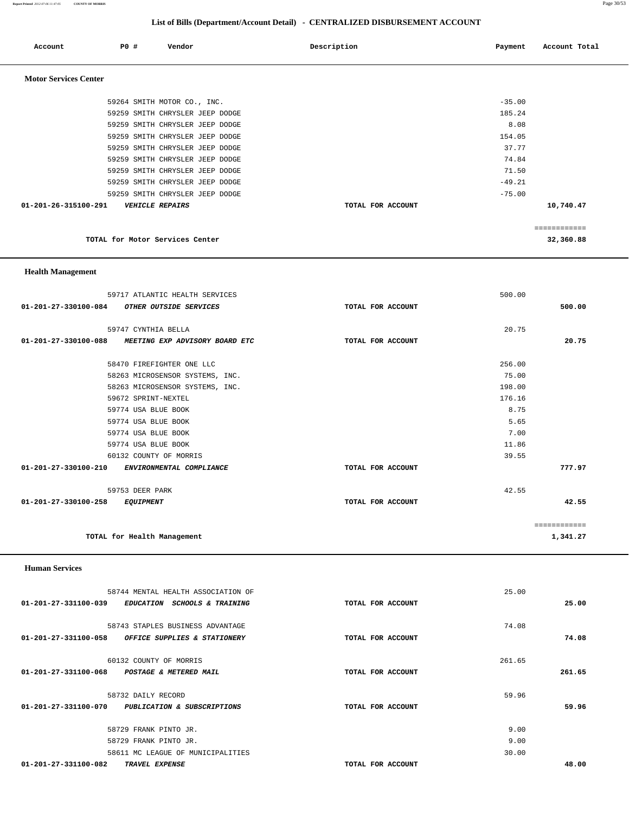**Report Printed** *2012-07-06 11:47:05* **COUNTY OF MORRIS** Page 30/53

# **List of Bills (Department/Account Detail) - CENTRALIZED DISBURSEMENT ACCOUNT**

| Account                        | <b>PO #</b> | Vendor                          | Description       | Payment  | Account Total |
|--------------------------------|-------------|---------------------------------|-------------------|----------|---------------|
| <b>Motor Services Center</b>   |             |                                 |                   |          |               |
|                                |             | 59264 SMITH MOTOR CO., INC.     |                   | $-35.00$ |               |
|                                |             | 59259 SMITH CHRYSLER JEEP DODGE |                   | 185.24   |               |
|                                |             | 59259 SMITH CHRYSLER JEEP DODGE |                   | 8.08     |               |
|                                |             | 59259 SMITH CHRYSLER JEEP DODGE |                   | 154.05   |               |
|                                |             | 59259 SMITH CHRYSLER JEEP DODGE |                   | 37.77    |               |
|                                |             | 59259 SMITH CHRYSLER JEEP DODGE |                   | 74.84    |               |
|                                |             | 59259 SMITH CHRYSLER JEEP DODGE |                   | 71.50    |               |
|                                |             | 59259 SMITH CHRYSLER JEEP DODGE |                   | $-49.21$ |               |
|                                |             | 59259 SMITH CHRYSLER JEEP DODGE |                   | $-75.00$ |               |
| $01 - 201 - 26 - 315100 - 291$ |             | <b>VEHICLE REPAIRS</b>          | TOTAL FOR ACCOUNT |          | 10,740.47     |
|                                |             |                                 |                   |          | ============  |
|                                |             | TOTAL for Motor Services Center |                   |          | 32,360.88     |

 **Health Management** 

| 59717 ATLANTIC HEALTH SERVICES                      |                   | 500.00 |              |
|-----------------------------------------------------|-------------------|--------|--------------|
| 01-201-27-330100-084<br>OTHER OUTSIDE SERVICES      | TOTAL FOR ACCOUNT |        | 500.00       |
|                                                     |                   |        |              |
| 59747 CYNTHIA BELLA                                 |                   | 20.75  |              |
| 01-201-27-330100-088 MEETING EXP ADVISORY BOARD ETC | TOTAL FOR ACCOUNT |        | 20.75        |
|                                                     |                   |        |              |
| 58470 FIREFIGHTER ONE LLC                           |                   | 256.00 |              |
| 58263 MICROSENSOR SYSTEMS, INC.                     |                   | 75.00  |              |
| 58263 MICROSENSOR SYSTEMS, INC.                     |                   | 198.00 |              |
| 59672 SPRINT-NEXTEL                                 |                   | 176.16 |              |
| 59774 USA BLUE BOOK                                 |                   | 8.75   |              |
| 59774 USA BLUE BOOK                                 |                   | 5.65   |              |
| 59774 USA BLUE BOOK                                 |                   | 7.00   |              |
| 59774 USA BLUE BOOK                                 |                   | 11.86  |              |
| 60132 COUNTY OF MORRIS                              |                   | 39.55  |              |
| 01-201-27-330100-210<br>ENVIRONMENTAL COMPLIANCE    | TOTAL FOR ACCOUNT |        | 777.97       |
| 59753 DEER PARK                                     |                   | 42.55  |              |
| 01-201-27-330100-258<br><i>EQUIPMENT</i>            | TOTAL FOR ACCOUNT |        | 42.55        |
|                                                     |                   |        | ============ |
| TOTAL for Health Management                         |                   |        | 1,341.27     |
|                                                     |                   |        |              |

 **Human Services** 

|                      | 58744 MENTAL HEALTH ASSOCIATION OF                |                   | 25.00  |        |
|----------------------|---------------------------------------------------|-------------------|--------|--------|
| 01-201-27-331100-039 | <b>EDUCATION</b><br><b>SCHOOLS &amp; TRAINING</b> | TOTAL FOR ACCOUNT |        | 25.00  |
|                      | 58743 STAPLES BUSINESS ADVANTAGE                  |                   | 74.08  |        |
| 01-201-27-331100-058 | OFFICE SUPPLIES & STATIONERY                      | TOTAL FOR ACCOUNT |        | 74.08  |
|                      | 60132 COUNTY OF MORRIS                            |                   | 261.65 |        |
| 01-201-27-331100-068 | <b>POSTAGE &amp; METERED MAIL</b>                 | TOTAL FOR ACCOUNT |        | 261.65 |
|                      | 58732 DAILY RECORD                                |                   | 59.96  |        |
| 01-201-27-331100-070 | <b>PUBLICATION &amp; SUBSCRIPTIONS</b>            | TOTAL FOR ACCOUNT |        | 59.96  |
|                      | 58729 FRANK PINTO JR.                             |                   | 9.00   |        |
|                      | 58729 FRANK PINTO JR.                             |                   | 9.00   |        |
|                      | 58611 MC LEAGUE OF MUNICIPALITIES                 |                   | 30.00  |        |
| 01-201-27-331100-082 | TRAVEL EXPENSE                                    | TOTAL FOR ACCOUNT |        | 48.00  |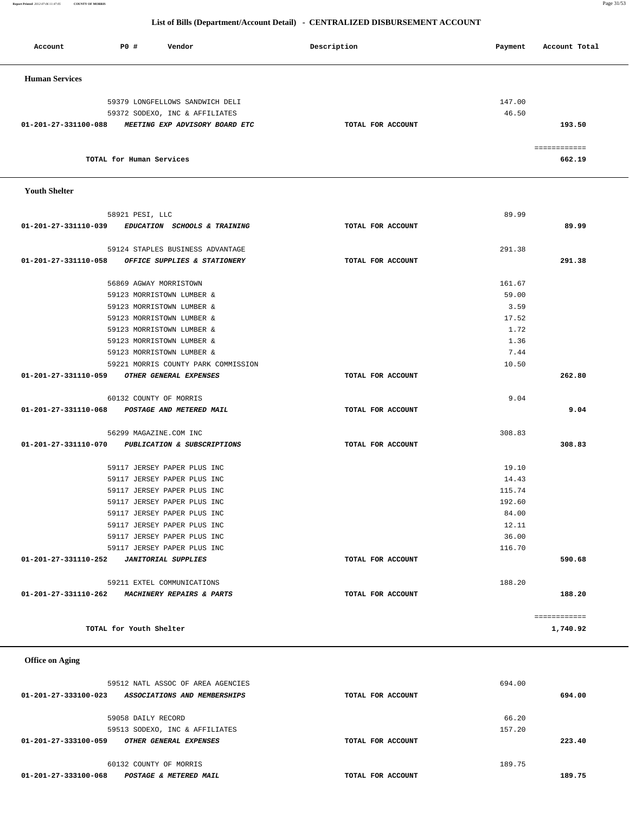**01-201-27-333100-023 ASSOCIATIONS AND MEMBERSHIPS TOTAL FOR ACCOUNT 694.00** 59058 DAILY RECORD 66.20 59513 SODEXO, INC & AFFILIATES 157.20  **01-201-27-333100-059 OTHER GENERAL EXPENSES TOTAL FOR ACCOUNT 223.40** 60132 COUNTY OF MORRIS 189.75  **01-201-27-333100-068 POSTAGE & METERED MAIL TOTAL FOR ACCOUNT 189.75**

59512 NATL ASSOC OF AREA AGENCIES 694.00

 **01-201-27-331110-262 MACHINERY REPAIRS & PARTS TOTAL FOR ACCOUNT 188.20**

**TOTAL for Youth Shelter** 1,740.92

============

 **Office on Aging** 

|                      | 59123 MORRISTOWN LUMBER &                        |                   | 17.52  |        |
|----------------------|--------------------------------------------------|-------------------|--------|--------|
|                      | 59123 MORRISTOWN LUMBER &                        |                   | 1.72   |        |
|                      | 59123 MORRISTOWN LUMBER &                        |                   | 1.36   |        |
|                      | 59123 MORRISTOWN LUMBER &                        |                   | 7.44   |        |
|                      | 59221 MORRIS COUNTY PARK COMMISSION              |                   | 10.50  |        |
| 01-201-27-331110-059 | <i>OTHER GENERAL EXPENSES</i>                    | TOTAL FOR ACCOUNT |        | 262.80 |
|                      | 60132 COUNTY OF MORRIS                           |                   | 9.04   |        |
| 01-201-27-331110-068 | POSTAGE AND METERED MAIL                         | TOTAL FOR ACCOUNT |        | 9.04   |
|                      | 56299 MAGAZINE.COM INC                           |                   | 308.83 |        |
|                      | 01-201-27-331110-070 PUBLICATION & SUBSCRIPTIONS | TOTAL FOR ACCOUNT |        | 308.83 |
|                      | 59117 JERSEY PAPER PLUS INC                      |                   | 19.10  |        |
|                      | 59117 JERSEY PAPER PLUS INC                      |                   | 14.43  |        |
|                      | 59117 JERSEY PAPER PLUS INC                      |                   | 115.74 |        |
|                      | 59117 JERSEY PAPER PLUS INC                      |                   | 192.60 |        |
|                      | 59117 JERSEY PAPER PLUS INC                      |                   | 84.00  |        |
|                      | 59117 JERSEY PAPER PLUS INC                      |                   | 12.11  |        |
|                      | 59117 JERSEY PAPER PLUS INC                      |                   | 36.00  |        |
|                      | 59117 JERSEY PAPER PLUS INC                      |                   | 116.70 |        |
| 01-201-27-331110-252 | <b>JANITORIAL SUPPLIES</b>                       | TOTAL FOR ACCOUNT |        | 590.68 |
|                      | 59211 EXTEL COMMUNICATIONS                       |                   | 188.20 |        |

 **Youth Shelter** 

| <b>Human Services</b>                                  |                   |        |
|--------------------------------------------------------|-------------------|--------|
| 59379 LONGFELLOWS SANDWICH DELI                        |                   | 147.00 |
| 59372 SODEXO, INC & AFFILIATES                         |                   | 46.50  |
| 01-201-27-331100-088<br>MEETING EXP ADVISORY BOARD ETC | TOTAL FOR ACCOUNT | 193.50 |
|                                                        |                   |        |
|                                                        |                   |        |
| TOTAL for Human Services                               |                   | 662.19 |
|                                                        |                   |        |

 58921 PESI, LLC 89.99  **01-201-27-331110-039 EDUCATION SCHOOLS & TRAINING TOTAL FOR ACCOUNT 89.99**

 59124 STAPLES BUSINESS ADVANTAGE 291.38  **01-201-27-331110-058 OFFICE SUPPLIES & STATIONERY TOTAL FOR ACCOUNT 291.38**

> 56869 AGWAY MORRISTOWN 161.67 59123 MORRISTOWN LUMBER & 59.00 59123 MORRISTOWN LUMBER & 3.59

# **List of Bills (Department/Account Detail) - CENTRALIZED DISBURSEMENT ACCOUNT**

Account **PO #** Vendor **Payment Payment Payment** Payment Recount Total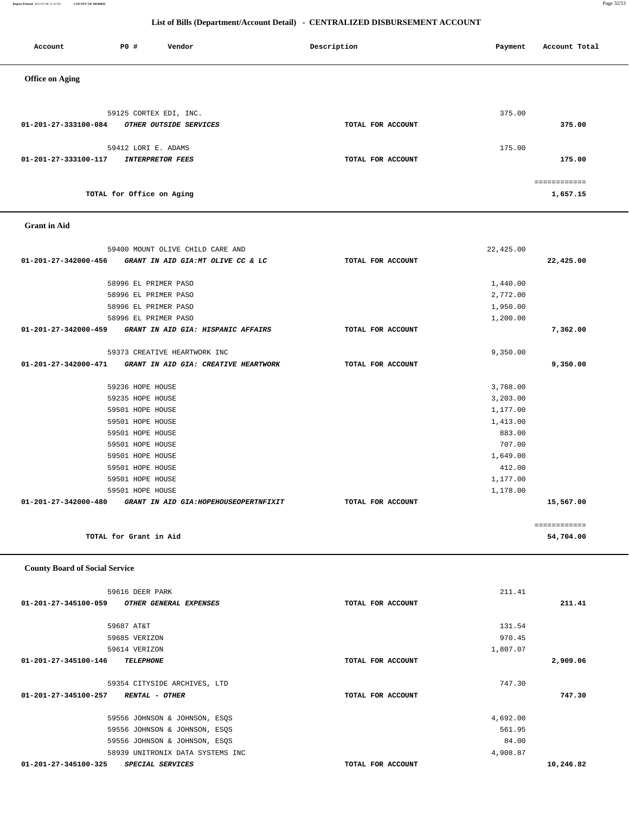**Report Printed** *2012-07-06 11:47:05* **COUNTY OF MORRIS** Page 32/53

# **List of Bills (Department/Account Detail) - CENTRALIZED DISBURSEMENT ACCOUNT**

Account P0 **#** Vendor **Description** Description Payment Account Total

| <b>Office on Aging</b>                                                        |                   |                  |                           |
|-------------------------------------------------------------------------------|-------------------|------------------|---------------------------|
|                                                                               |                   |                  |                           |
| 59125 CORTEX EDI, INC.                                                        |                   | 375.00           |                           |
| 01-201-27-333100-084<br>OTHER OUTSIDE SERVICES                                | TOTAL FOR ACCOUNT |                  | 375.00                    |
|                                                                               |                   |                  |                           |
| 59412 LORI E. ADAMS                                                           |                   | 175.00           |                           |
| 01-201-27-333100-117<br><b>INTERPRETOR FEES</b>                               | TOTAL FOR ACCOUNT |                  | 175.00                    |
|                                                                               |                   |                  | ============              |
| TOTAL for Office on Aging                                                     |                   |                  | 1,657.15                  |
| <b>Grant</b> in Aid                                                           |                   |                  |                           |
| 59400 MOUNT OLIVE CHILD CARE AND                                              |                   | 22,425.00        |                           |
| 01-201-27-342000-456<br>GRANT IN AID GIA:MT OLIVE CC & LC                     | TOTAL FOR ACCOUNT |                  | 22,425.00                 |
|                                                                               |                   |                  |                           |
| 58996 EL PRIMER PASO                                                          |                   | 1,440.00         |                           |
| 58996 EL PRIMER PASO                                                          |                   | 2,772.00         |                           |
| 58996 EL PRIMER PASO                                                          |                   | 1,950.00         |                           |
| 58996 EL PRIMER PASO                                                          |                   | 1,200.00         |                           |
| 01-201-27-342000-459 GRANT IN AID GIA: HISPANIC AFFAIRS                       | TOTAL FOR ACCOUNT |                  | 7,362.00                  |
| 59373 CREATIVE HEARTWORK INC                                                  |                   | 9,350.00         |                           |
| 01-201-27-342000-471 GRANT IN AID GIA: CREATIVE HEARTWORK                     | TOTAL FOR ACCOUNT |                  | 9,350.00                  |
|                                                                               |                   |                  |                           |
| 59236 HOPE HOUSE                                                              |                   | 3,768.00         |                           |
| 59235 HOPE HOUSE                                                              |                   | 3,203.00         |                           |
| 59501 HOPE HOUSE                                                              |                   | 1,177.00         |                           |
| 59501 HOPE HOUSE                                                              |                   | 1,413.00         |                           |
| 59501 HOPE HOUSE<br>59501 HOPE HOUSE                                          |                   | 883.00<br>707.00 |                           |
| 59501 HOPE HOUSE                                                              |                   | 1,649.00         |                           |
| 59501 HOPE HOUSE                                                              |                   | 412.00           |                           |
| 59501 HOPE HOUSE                                                              |                   | 1,177.00         |                           |
| 59501 HOPE HOUSE                                                              |                   | 1,178.00         |                           |
| 01-201-27-342000-480<br>GRANT IN AID GIA: HOPEHOUSEOPERTNFIXIT                | TOTAL FOR ACCOUNT |                  | 15,567.00                 |
| TOTAL for Grant in Aid                                                        |                   |                  | essessessess<br>54,704.00 |
|                                                                               |                   |                  |                           |
| <b>County Board of Social Service</b>                                         |                   |                  |                           |
| 59616 DEER PARK                                                               |                   | 211.41           |                           |
| OTHER GENERAL EXPENSES<br>01-201-27-345100-059                                | TOTAL FOR ACCOUNT |                  | 211.41                    |
| 59687 AT&T                                                                    |                   | 131.54           |                           |
| 59685 VERIZON                                                                 |                   | 970.45           |                           |
| 59614 VERIZON                                                                 |                   | 1,807.07         |                           |
| 01-201-27-345100-146<br><b>TELEPHONE</b>                                      | TOTAL FOR ACCOUNT |                  | 2,909.06                  |
|                                                                               |                   |                  |                           |
| 59354 CITYSIDE ARCHIVES, LTD<br>01-201-27-345100-257<br><b>RENTAL - OTHER</b> | TOTAL FOR ACCOUNT | 747.30           | 747.30                    |
|                                                                               |                   |                  |                           |
| 59556 JOHNSON & JOHNSON, ESQS                                                 |                   | 4,692.00         |                           |
| 59556 JOHNSON & JOHNSON, ESQS                                                 |                   | 561.95           |                           |
| 59556 JOHNSON & JOHNSON, ESQS                                                 |                   | 84.00            |                           |
| 58939 UNITRONIX DATA SYSTEMS INC                                              |                   | 4,908.87         |                           |
| 01-201-27-345100-325<br>SPECIAL SERVICES                                      | TOTAL FOR ACCOUNT |                  | 10,246.82                 |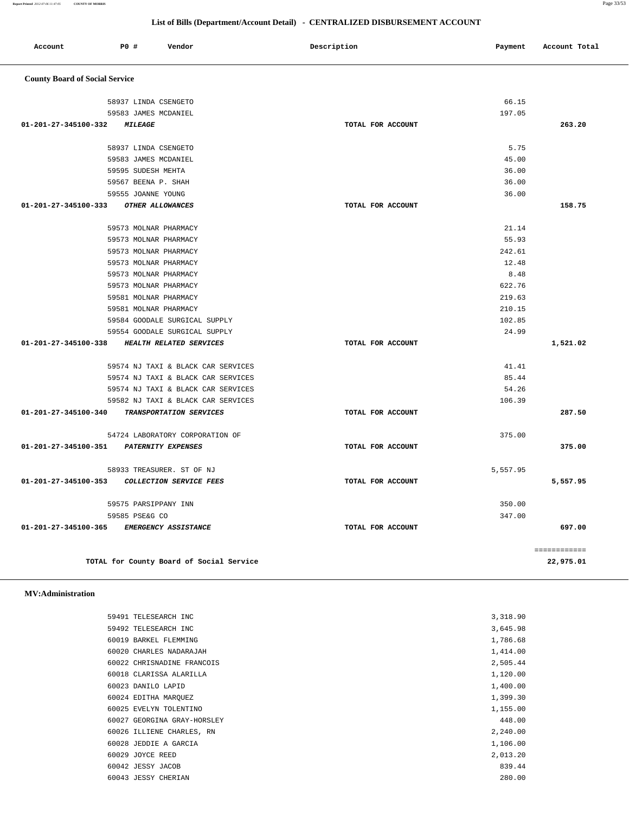| 59491 TELESEARCH INC        | 3,318.90 |
|-----------------------------|----------|
| 59492 TELESEARCH INC        | 3,645.98 |
| 60019 BARKEL FLEMMING       | 1,786.68 |
| 60020 CHARLES NADARAJAH     | 1,414.00 |
| 60022 CHRISNADINE FRANCOIS  | 2,505.44 |
| 60018 CLARISSA ALARILLA     | 1,120.00 |
| 60023 DANILO LAPID          | 1,400.00 |
| 60024 EDITHA MARQUEZ        | 1,399.30 |
| 60025 EVELYN TOLENTINO      | 1,155.00 |
| 60027 GEORGINA GRAY-HORSLEY | 448.00   |
| 60026 ILLIENE CHARLES, RN   | 2,240.00 |
| 60028 JEDDIE A GARCIA       | 1,106.00 |
| 60029 JOYCE REED            | 2,013.20 |
| 60042 JESSY JACOB           | 839.44   |
| 60043 JESSY CHERIAN         | 280.00   |
|                             |          |

### **MV:Administration**

| 59573 MOLNAR PHARMACY                                            |                   | 622.76   |          |
|------------------------------------------------------------------|-------------------|----------|----------|
| 59581 MOLNAR PHARMACY                                            |                   | 219.63   |          |
| 59581 MOLNAR PHARMACY                                            |                   | 210.15   |          |
| 59584 GOODALE SURGICAL SUPPLY                                    |                   | 102.85   |          |
| 59554 GOODALE SURGICAL SUPPLY                                    |                   | 24.99    |          |
| 01-201-27-345100-338<br><b>HEALTH RELATED SERVICES</b>           | TOTAL FOR ACCOUNT |          | 1,521.02 |
| 59574 NJ TAXI & BLACK CAR SERVICES                               |                   | 41.41    |          |
| 59574 NJ TAXI & BLACK CAR SERVICES                               |                   | 85.44    |          |
| 59574 NJ TAXI & BLACK CAR SERVICES                               |                   | 54.26    |          |
| 59582 NJ TAXI & BLACK CAR SERVICES                               |                   | 106.39   |          |
| $01 - 201 - 27 - 345100 - 340$<br>TRANSPORTATION SERVICES        | TOTAL FOR ACCOUNT |          | 287.50   |
| 54724 LABORATORY CORPORATION OF                                  |                   | 375.00   |          |
| $01 - 201 - 27 - 345100 - 351$<br>PATERNITY EXPENSES             | TOTAL FOR ACCOUNT |          | 375.00   |
| 58933 TREASURER. ST OF NJ                                        |                   | 5,557.95 |          |
| $01 - 201 - 27 - 345100 - 353$<br><b>COLLECTION SERVICE FEES</b> | TOTAL FOR ACCOUNT |          | 5,557.95 |
| 59575 PARSIPPANY INN                                             |                   | 350.00   |          |
| 59585 PSE&G CO                                                   |                   | 347.00   |          |
| $01 - 201 - 27 - 345100 - 365$<br><b>EMERGENCY ASSISTANCE</b>    | TOTAL FOR ACCOUNT |          | 697.00   |
|                                                                  |                   |          |          |

============

**TOTAL for County Board of Social Service 22,975.01**

| <b>County Board of Social Service</b>              |                   |        |        |
|----------------------------------------------------|-------------------|--------|--------|
|                                                    |                   |        |        |
| 58937 LINDA CSENGETO                               |                   | 66.15  |        |
| 59583 JAMES MCDANIEL                               |                   | 197.05 |        |
| 01-201-27-345100-332<br><b>MILEAGE</b>             | TOTAL FOR ACCOUNT |        | 263.20 |
| 58937 LINDA CSENGETO                               |                   | 5.75   |        |
| 59583 JAMES MCDANIEL                               |                   | 45.00  |        |
| 59595 SUDESH MEHTA                                 |                   | 36.00  |        |
| 59567 BEENA P. SHAH                                |                   | 36.00  |        |
| 59555 JOANNE YOUNG                                 |                   | 36.00  |        |
| $01 - 201 - 27 - 345100 - 333$<br>OTHER ALLOWANCES | TOTAL FOR ACCOUNT |        | 158.75 |
| 59573 MOLNAR PHARMACY                              |                   | 21.14  |        |
| 59573 MOLNAR PHARMACY                              |                   | 55.93  |        |
| 59573 MOLNAR PHARMACY                              |                   | 242.61 |        |
| 59573 MOLNAR PHARMACY                              |                   | 12.48  |        |
| 59573 MOLNAR PHARMACY                              |                   | 8.48   |        |
| 59573 MOLNAR PHARMACY                              |                   | 622.76 |        |
| 59581 MOLNAR PHARMACY                              |                   | 219.63 |        |
| 59581 MOLNAR PHARMACY                              |                   | 210.15 |        |
| 59584 GOODALE SURGICAL SUPPLY                      |                   | 102.85 |        |
| EQEEA COODALE CURCICAL CURRIY                      |                   | 2100   |        |

|         |     |        | List of Bills (Department/Account Detail) - CENTRALIZED DISBURSEMENT ACCOUNT |         |               |
|---------|-----|--------|------------------------------------------------------------------------------|---------|---------------|
| Account | PO# | Vendor | Description                                                                  | Payment | Account Total |
|         |     |        |                                                                              |         |               |

**Report Printed** *2012-07-06 11:47:05* **COUNTY OF MORRIS** Page 33/53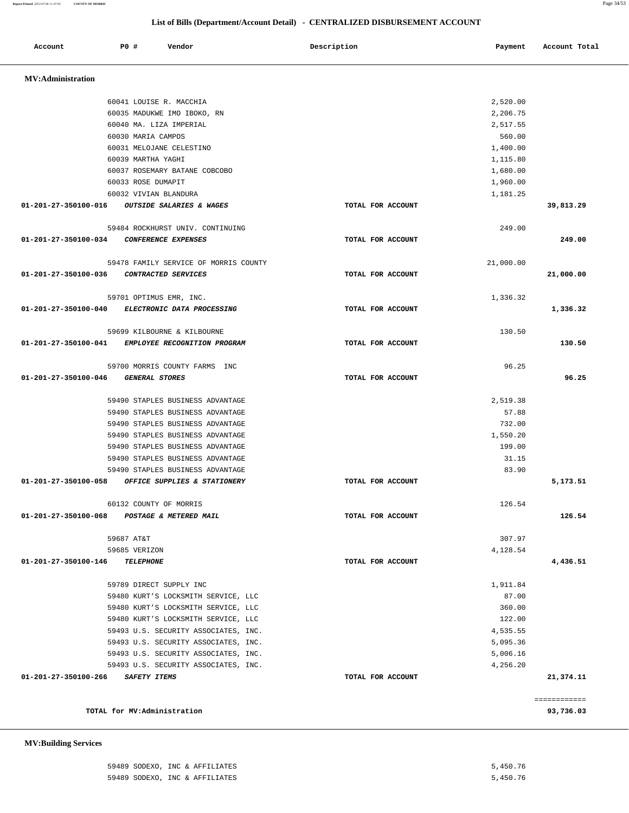| 59489 SODEXO, INC & AFFILIATES | 5,450.76 |
|--------------------------------|----------|
| 59489 SODEXO, INC & AFFILIATES | 5,450.76 |

 **MV:Building Services** 

| <b>MV:Administration</b> |                                                   |                   |           |              |
|--------------------------|---------------------------------------------------|-------------------|-----------|--------------|
|                          | 60041 LOUISE R. MACCHIA                           |                   | 2,520.00  |              |
|                          | 60035 MADUKWE IMO IBOKO, RN                       |                   | 2,206.75  |              |
|                          | 60040 MA. LIZA IMPERIAL                           |                   | 2,517.55  |              |
|                          | 60030 MARIA CAMPOS                                |                   | 560.00    |              |
|                          | 60031 MELOJANE CELESTINO                          |                   | 1,400.00  |              |
|                          | 60039 MARTHA YAGHI                                |                   | 1,115.80  |              |
|                          | 60037 ROSEMARY BATANE COBCOBO                     |                   | 1,680.00  |              |
|                          | 60033 ROSE DUMAPIT                                |                   | 1,960.00  |              |
|                          | 60032 VIVIAN BLANDURA                             |                   | 1,181.25  |              |
|                          | 01-201-27-350100-016 OUTSIDE SALARIES & WAGES     | TOTAL FOR ACCOUNT |           | 39,813.29    |
|                          | 59484 ROCKHURST UNIV. CONTINUING                  |                   | 249.00    |              |
| 01-201-27-350100-034     | <b>CONFERENCE EXPENSES</b>                        | TOTAL FOR ACCOUNT |           | 249.00       |
|                          | 59478 FAMILY SERVICE OF MORRIS COUNTY             |                   | 21,000.00 |              |
| 01-201-27-350100-036     | CONTRACTED SERVICES                               | TOTAL FOR ACCOUNT |           | 21,000.00    |
|                          | 59701 OPTIMUS EMR, INC.                           |                   | 1,336.32  |              |
|                          | 01-201-27-350100-040 ELECTRONIC DATA PROCESSING   | TOTAL FOR ACCOUNT |           | 1,336.32     |
|                          | 59699 KILBOURNE & KILBOURNE                       |                   | 130.50    |              |
|                          | 01-201-27-350100-041 EMPLOYEE RECOGNITION PROGRAM | TOTAL FOR ACCOUNT |           | 130.50       |
|                          | 59700 MORRIS COUNTY FARMS INC                     |                   | 96.25     |              |
| 01-201-27-350100-046     | <b>GENERAL STORES</b>                             | TOTAL FOR ACCOUNT |           | 96.25        |
|                          | 59490 STAPLES BUSINESS ADVANTAGE                  |                   | 2,519.38  |              |
|                          | 59490 STAPLES BUSINESS ADVANTAGE                  |                   | 57.88     |              |
|                          | 59490 STAPLES BUSINESS ADVANTAGE                  |                   | 732.00    |              |
|                          | 59490 STAPLES BUSINESS ADVANTAGE                  |                   | 1,550.20  |              |
|                          | 59490 STAPLES BUSINESS ADVANTAGE                  |                   | 199.00    |              |
|                          | 59490 STAPLES BUSINESS ADVANTAGE                  |                   | 31.15     |              |
|                          | 59490 STAPLES BUSINESS ADVANTAGE                  |                   | 83.90     |              |
|                          | 01-201-27-350100-058 OFFICE SUPPLIES & STATIONERY | TOTAL FOR ACCOUNT |           | 5,173.51     |
|                          | 60132 COUNTY OF MORRIS                            |                   | 126.54    |              |
|                          | 01-201-27-350100-068 POSTAGE & METERED MAIL       | TOTAL FOR ACCOUNT |           | 126.54       |
|                          | 59687 AT&T                                        |                   | 307.97    |              |
|                          | 59685 VERIZON                                     |                   | 4,128.54  |              |
| 01-201-27-350100-146     | <b>TELEPHONE</b>                                  | TOTAL FOR ACCOUNT |           | 4,436.51     |
|                          | 59789 DIRECT SUPPLY INC                           |                   | 1,911.84  |              |
|                          | 59480 KURT'S LOCKSMITH SERVICE, LLC               |                   | 87.00     |              |
|                          | 59480 KURT'S LOCKSMITH SERVICE, LLC               |                   | 360.00    |              |
|                          | 59480 KURT'S LOCKSMITH SERVICE, LLC               |                   | 122.00    |              |
|                          | 59493 U.S. SECURITY ASSOCIATES, INC.              |                   | 4,535.55  |              |
|                          | 59493 U.S. SECURITY ASSOCIATES, INC.              |                   | 5,095.36  |              |
|                          | 59493 U.S. SECURITY ASSOCIATES, INC.              |                   | 5,006.16  |              |
|                          | 59493 U.S. SECURITY ASSOCIATES, INC.              |                   | 4,256.20  |              |
| 01-201-27-350100-266     | <i>SAFETY ITEMS</i>                               | TOTAL FOR ACCOUNT |           | 21,374.11    |
|                          |                                                   |                   |           | ============ |
|                          | TOTAL for MV:Administration                       |                   |           | 93,736.03    |

Account **PO #** Vendor **Payment Payment Payment** Payment Paccount Total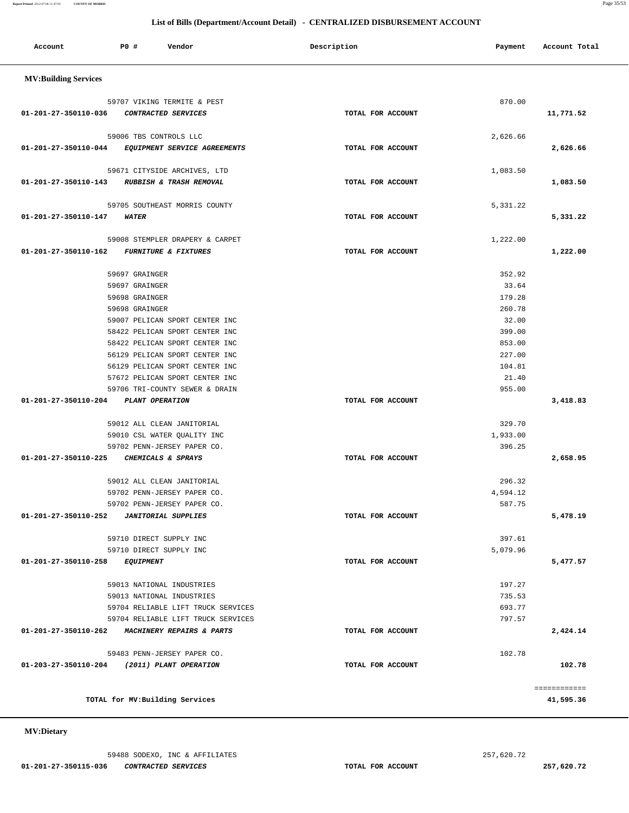### **MV:Dietary**

 **Account P0 # Vendor Description Payment Account Total MV:Building Services**  59707 VIKING TERMITE & PEST 870.00  **01-201-27-350110-036 CONTRACTED SERVICES TOTAL FOR ACCOUNT 11,771.52** 59006 TBS CONTROLS LLC 2,626.66  **01-201-27-350110-044 EQUIPMENT SERVICE AGREEMENTS TOTAL FOR ACCOUNT 2,626.66** 59671 CITYSIDE ARCHIVES, LTD 1,083.50  **01-201-27-350110-143 RUBBISH & TRASH REMOVAL TOTAL FOR ACCOUNT 1,083.50** 59705 SOUTHEAST MORRIS COUNTY 5,331.22  **01-201-27-350110-147 WATER TOTAL FOR ACCOUNT 5,331.22** 59008 STEMPLER DRAPERY & CARPET 1,222.00  **01-201-27-350110-162 FURNITURE & FIXTURES TOTAL FOR ACCOUNT 1,222.00** 59697 GRAINGER 352.92 59697 GRAINGER 33.64 59698 GRAINGER 179.28 59698 GRAINGER 260.78 59007 PELICAN SPORT CENTER INC 32.00 58422 PELICAN SPORT CENTER INC 399.00 58422 PELICAN SPORT CENTER INC 853.00 56129 PELICAN SPORT CENTER INC 227.00 56129 PELICAN SPORT CENTER INC 30 104.81 57672 PELICAN SPORT CENTER INC 21.40 59706 TRI-COUNTY SEWER & DRAIN 955.00  **01-201-27-350110-204 PLANT OPERATION TOTAL FOR ACCOUNT 3,418.83** 59012 ALL CLEAN JANITORIAL 329.70 59010 CSL WATER QUALITY INC 1,933.00 59702 PENN-JERSEY PAPER CO. 396.25  **01-201-27-350110-225 CHEMICALS & SPRAYS TOTAL FOR ACCOUNT 2,658.95** 59012 ALL CLEAN JANITORIAL 296.32 59702 PENN-JERSEY PAPER CO. 4,594.12 59702 PENN-JERSEY PAPER CO. 587.75  **01-201-27-350110-252 JANITORIAL SUPPLIES TOTAL FOR ACCOUNT 5,478.19** 59710 DIRECT SUPPLY INC 397.61 59710 DIRECT SUPPLY INC 5,079.96  **01-201-27-350110-258 EQUIPMENT TOTAL FOR ACCOUNT 5,477.57** 59013 NATIONAL INDUSTRIES 197.27 59013 NATIONAL INDUSTRIES 735.53 59704 RELIABLE LIFT TRUCK SERVICES 693.77 59704 RELIABLE LIFT TRUCK SERVICES 797.57  **01-201-27-350110-262 MACHINERY REPAIRS & PARTS TOTAL FOR ACCOUNT 2,424.14** 59483 PENN-JERSEY PAPER CO. 2002.78  **01-203-27-350110-204 (2011) PLANT OPERATION TOTAL FOR ACCOUNT 102.78** ============ **TOTAL for MV:Building Services 41,595.36**

# **List of Bills (Department/Account Detail) - CENTRALIZED DISBURSEMENT ACCOUNT**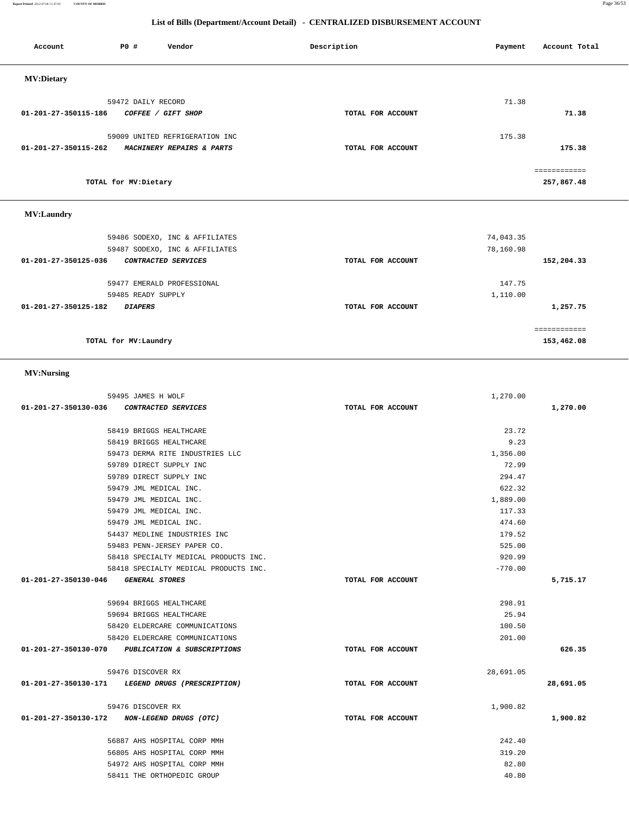**Report Printed** *2012-07-06 11:47:05* **COUNTY OF MORRIS** Page 36/53

# **List of Bills (Department/Account Detail) - CENTRALIZED DISBURSEMENT ACCOUNT**

| Account              | <b>PO #</b>          | Vendor                         | Description       | Payment | Account Total |
|----------------------|----------------------|--------------------------------|-------------------|---------|---------------|
| <b>MV:Dietary</b>    |                      |                                |                   |         |               |
|                      | 59472 DAILY RECORD   |                                |                   | 71.38   |               |
| 01-201-27-350115-186 |                      | COFFEE / GIFT SHOP             | TOTAL FOR ACCOUNT |         | 71.38         |
|                      |                      | 59009 UNITED REFRIGERATION INC |                   | 175.38  |               |
| 01-201-27-350115-262 |                      | MACHINERY REPAIRS & PARTS      | TOTAL FOR ACCOUNT |         | 175.38        |
|                      |                      |                                |                   |         |               |
|                      | TOTAL for MV:Dietary |                                |                   |         | 257,867.48    |
|                      |                      |                                |                   |         |               |

# **MV:Laundry**

| 59486 SODEXO, INC & AFFILIATES              |                   | 74,043.35   |
|---------------------------------------------|-------------------|-------------|
| 59487 SODEXO, INC & AFFILIATES              |                   | 78,160.98   |
| 01-201-27-350125-036<br>CONTRACTED SERVICES | TOTAL FOR ACCOUNT | 152,204.33  |
|                                             |                   |             |
| 59477 EMERALD PROFESSIONAL                  |                   | 147.75      |
| 59485 READY SUPPLY                          |                   | 1,110.00    |
| 01-201-27-350125-182<br><b>DIAPERS</b>      | TOTAL FOR ACCOUNT | 1,257.75    |
|                                             |                   | =========== |
| TOTAL for MV: Laundry                       |                   | 153,462.08  |

# **MV:Nursing**

|                                                  | 59495 JAMES H WOLF                    | 1,270.00          |           |
|--------------------------------------------------|---------------------------------------|-------------------|-----------|
| 01-201-27-350130-036 CONTRACTED SERVICES         |                                       | TOTAL FOR ACCOUNT | 1,270.00  |
|                                                  | 58419 BRIGGS HEALTHCARE               | 23.72             |           |
|                                                  | 58419 BRIGGS HEALTHCARE               | 9.23              |           |
|                                                  | 59473 DERMA RITE INDUSTRIES LLC       | 1,356.00          |           |
|                                                  | 59789 DIRECT SUPPLY INC               | 72.99             |           |
|                                                  | 59789 DIRECT SUPPLY INC               | 294.47            |           |
|                                                  | 59479 JML MEDICAL INC.                | 622.32            |           |
|                                                  | 59479 JML MEDICAL INC.                | 1,889.00          |           |
|                                                  | 59479 JML MEDICAL INC.                | 117.33            |           |
|                                                  | 59479 JML MEDICAL INC.                | 474.60            |           |
|                                                  | 54437 MEDLINE INDUSTRIES INC          | 179.52            |           |
|                                                  | 59483 PENN-JERSEY PAPER CO.           | 525.00            |           |
|                                                  | 58418 SPECIALTY MEDICAL PRODUCTS INC. | 920.99            |           |
|                                                  | 58418 SPECIALTY MEDICAL PRODUCTS INC. | $-770.00$         |           |
| 01-201-27-350130-046 GENERAL STORES              |                                       | TOTAL FOR ACCOUNT | 5,715.17  |
|                                                  |                                       |                   |           |
|                                                  | 59694 BRIGGS HEALTHCARE               | 298.91            |           |
|                                                  | 59694 BRIGGS HEALTHCARE               | 25.94             |           |
|                                                  | 58420 ELDERCARE COMMUNICATIONS        | 100.50            |           |
|                                                  | 58420 ELDERCARE COMMUNICATIONS        | 201.00            |           |
| 01-201-27-350130-070 PUBLICATION & SUBSCRIPTIONS |                                       | TOTAL FOR ACCOUNT | 626.35    |
|                                                  | 59476 DISCOVER RX                     | 28,691.05         |           |
| 01-201-27-350130-171 LEGEND DRUGS (PRESCRIPTION) |                                       | TOTAL FOR ACCOUNT | 28,691.05 |
|                                                  |                                       |                   |           |
|                                                  | 59476 DISCOVER RX                     | 1,900.82          |           |
| 01-201-27-350130-172 NON-LEGEND DRUGS (OTC)      |                                       | TOTAL FOR ACCOUNT | 1,900.82  |
|                                                  | 56887 AHS HOSPITAL CORP MMH           | 242.40            |           |
|                                                  | 56805 AHS HOSPITAL CORP MMH           | 319.20            |           |
|                                                  | 54972 AHS HOSPITAL CORP MMH           | 82.80             |           |
|                                                  | 58411 THE ORTHOPEDIC GROUP            | 40.80             |           |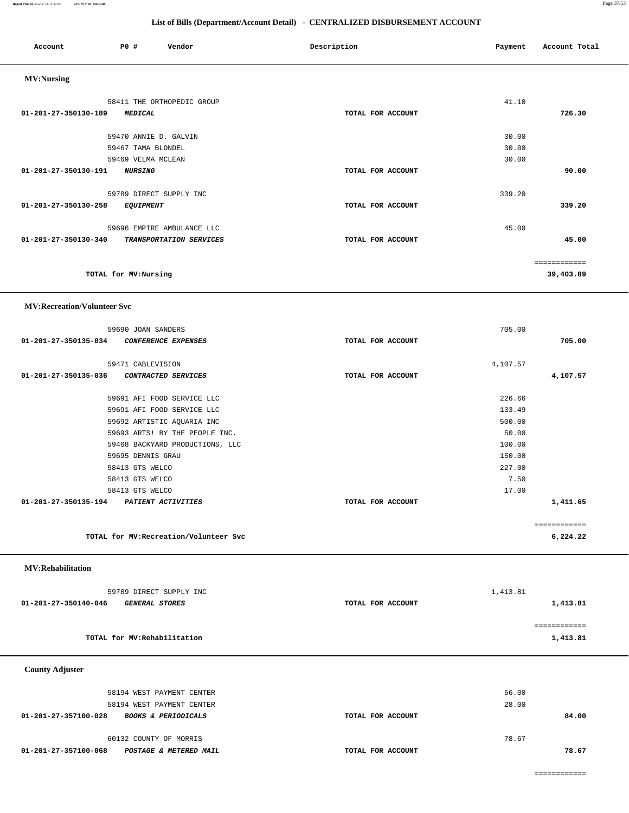**Report Printed** *2012-07-06 11:47:05* **COUNTY OF MORRIS** Page 37/53

# **List of Bills (Department/Account Detail) - CENTRALIZED DISBURSEMENT ACCOUNT**

| Account                            | PO#                   | Vendor                     | Description       | Payment | Account Total |
|------------------------------------|-----------------------|----------------------------|-------------------|---------|---------------|
| <b>MV:Nursing</b>                  |                       |                            |                   |         |               |
|                                    |                       | 58411 THE ORTHOPEDIC GROUP |                   | 41.10   |               |
| 01-201-27-350130-189               | <b>MEDICAL</b>        |                            | TOTAL FOR ACCOUNT |         | 726.30        |
|                                    | 59470 ANNIE D. GALVIN |                            |                   | 30.00   |               |
|                                    | 59467 TAMA BLONDEL    |                            |                   | 30.00   |               |
|                                    | 59469 VELMA MCLEAN    |                            |                   | 30.00   |               |
| 01-201-27-350130-191               | <b>NURSING</b>        |                            | TOTAL FOR ACCOUNT |         | 90.00         |
|                                    |                       | 59789 DIRECT SUPPLY INC    |                   | 339.20  |               |
| 01-201-27-350130-258               | <b>EQUIPMENT</b>      |                            | TOTAL FOR ACCOUNT |         | 339.20        |
|                                    |                       | 59696 EMPIRE AMBULANCE LLC |                   | 45.00   |               |
| $01 - 201 - 27 - 350130 - 340$     |                       | TRANSPORTATION SERVICES    | TOTAL FOR ACCOUNT |         | 45.00         |
|                                    |                       |                            |                   |         | ============  |
|                                    | TOTAL for MV:Nursing  |                            |                   |         | 39,403.89     |
| <b>MV:Recreation/Volunteer Svc</b> |                       |                            |                   |         |               |

|                                         | 59690 JOAN SANDERS                     |                   | 705.00   |              |
|-----------------------------------------|----------------------------------------|-------------------|----------|--------------|
| 01-201-27-350135-034                    | <i>CONFERENCE EXPENSES</i>             | TOTAL FOR ACCOUNT |          | 705.00       |
|                                         |                                        |                   |          |              |
|                                         | 59471 CABLEVISION                      |                   | 4,107.57 |              |
| 01-201-27-350135-036                    | <i>CONTRACTED SERVICES</i>             | TOTAL FOR ACCOUNT |          | 4,107.57     |
|                                         | 59691 AFI FOOD SERVICE LLC             |                   | 226.66   |              |
|                                         | 59691 AFI FOOD SERVICE LLC             |                   | 133.49   |              |
|                                         | 59692 ARTISTIC AQUARIA INC             |                   | 500.00   |              |
|                                         | 59693 ARTS! BY THE PEOPLE INC.         |                   | 50.00    |              |
|                                         | 59468 BACKYARD PRODUCTIONS, LLC        |                   | 100.00   |              |
|                                         | 59695 DENNIS GRAU                      |                   | 150.00   |              |
|                                         | 58413 GTS WELCO                        |                   | 227.00   |              |
|                                         | 58413 GTS WELCO                        |                   | 7.50     |              |
|                                         | 58413 GTS WELCO                        |                   | 17.00    |              |
| 01-201-27-350135-194 PATIENT ACTIVITIES |                                        | TOTAL FOR ACCOUNT |          | 1,411.65     |
|                                         |                                        |                   |          | ============ |
|                                         |                                        |                   |          |              |
|                                         | TOTAL for MV: Recreation/Volunteer Svc |                   |          | 6,224.22     |
|                                         |                                        |                   |          |              |

 **MV:Rehabilitation** 

| 59789 DIRECT SUPPLY INC                              |                   | 1,413.81 |
|------------------------------------------------------|-------------------|----------|
| 01-201-27-350140-046<br><i><b>GENERAL STORES</b></i> | TOTAL FOR ACCOUNT | 1,413.81 |
|                                                      |                   |          |
|                                                      |                   |          |
| TOTAL for MV:Rehabilitation                          |                   | 1,413.81 |

 **County Adjuster** 

| 58194 WEST PAYMENT CENTER<br>58194 WEST PAYMENT CENTER |                   | 56.00<br>28.00 |       |
|--------------------------------------------------------|-------------------|----------------|-------|
| 01-201-27-357100-028<br><b>BOOKS &amp; PERIODICALS</b> | TOTAL FOR ACCOUNT |                | 84.00 |
| 60132 COUNTY OF MORRIS                                 |                   | 78.67          |       |
| 01-201-27-357100-068<br>POSTAGE & METERED MAIL         | TOTAL FOR ACCOUNT |                | 78.67 |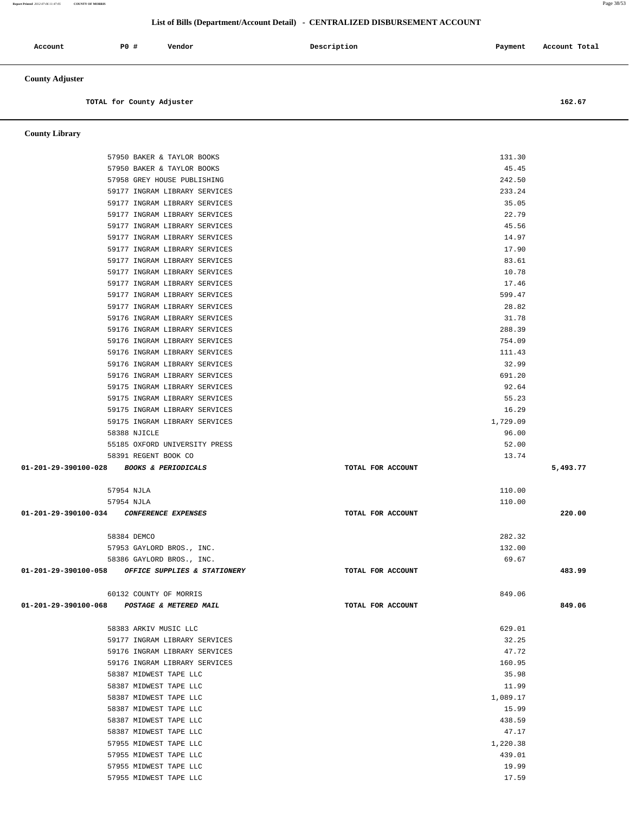# **List of Bills (Department/Account Detail) - CENTRALIZED DISBURSEMENT ACCOUNT**

| Account                | <b>PO #</b>               | Vendor | Description | Payment | Account Total |
|------------------------|---------------------------|--------|-------------|---------|---------------|
| <b>County Adjuster</b> |                           |        |             |         |               |
|                        | TOTAL for County Adjuster |        |             |         | 162.67        |

 **County Library** 

| 57950 BAKER & TAYLOR BOOKS                              |                   | 131.30         |          |
|---------------------------------------------------------|-------------------|----------------|----------|
| 57950 BAKER & TAYLOR BOOKS                              |                   | 45.45          |          |
| 57958 GREY HOUSE PUBLISHING                             |                   | 242.50         |          |
| 59177 INGRAM LIBRARY SERVICES                           |                   | 233.24         |          |
| 59177 INGRAM LIBRARY SERVICES                           |                   | 35.05          |          |
| 59177 INGRAM LIBRARY SERVICES                           |                   | 22.79          |          |
| 59177 INGRAM LIBRARY SERVICES                           |                   | 45.56          |          |
| 59177 INGRAM LIBRARY SERVICES                           |                   | 14.97          |          |
| 59177 INGRAM LIBRARY SERVICES                           |                   | 17.90          |          |
| 59177 INGRAM LIBRARY SERVICES                           |                   | 83.61          |          |
| 59177 INGRAM LIBRARY SERVICES                           |                   | 10.78          |          |
| 59177 INGRAM LIBRARY SERVICES                           |                   | 17.46          |          |
| 59177 INGRAM LIBRARY SERVICES                           |                   | 599.47         |          |
| 59177 INGRAM LIBRARY SERVICES                           |                   | 28.82          |          |
| 59176 INGRAM LIBRARY SERVICES                           |                   | 31.78          |          |
| 59176 INGRAM LIBRARY SERVICES                           |                   | 288.39         |          |
| 59176 INGRAM LIBRARY SERVICES                           |                   | 754.09         |          |
| 59176 INGRAM LIBRARY SERVICES                           |                   | 111.43         |          |
| 59176 INGRAM LIBRARY SERVICES                           |                   | 32.99          |          |
| 59176 INGRAM LIBRARY SERVICES                           |                   | 691.20         |          |
| 59175 INGRAM LIBRARY SERVICES                           |                   | 92.64          |          |
| 59175 INGRAM LIBRARY SERVICES                           |                   | 55.23          |          |
| 59175 INGRAM LIBRARY SERVICES                           |                   | 16.29          |          |
| 59175 INGRAM LIBRARY SERVICES                           |                   | 1,729.09       |          |
| 58388 NJICLE                                            |                   | 96.00          |          |
| 55185 OXFORD UNIVERSITY PRESS                           |                   | 52.00          |          |
| 58391 REGENT BOOK CO                                    |                   | 13.74          |          |
|                                                         |                   |                |          |
| 01-201-29-390100-028 BOOKS & PERIODICALS                | TOTAL FOR ACCOUNT |                | 5,493.77 |
|                                                         |                   |                |          |
| 57954 NJLA                                              |                   | 110.00         |          |
| 57954 NJLA                                              |                   | 110.00         |          |
| 01-201-29-390100-034 CONFERENCE EXPENSES                | TOTAL FOR ACCOUNT |                | 220.00   |
|                                                         |                   |                |          |
| 58384 DEMCO                                             |                   | 282.32         |          |
| 57953 GAYLORD BROS., INC.                               |                   | 132.00         |          |
| 58386 GAYLORD BROS., INC.                               |                   | 69.67          |          |
| 01-201-29-390100-058 OFFICE SUPPLIES & STATIONERY       | TOTAL FOR ACCOUNT |                | 483.99   |
|                                                         |                   | 849.06         |          |
| 60132 COUNTY OF MORRIS                                  |                   |                |          |
| 01-201-29-390100-068 POSTAGE & METERED MAIL             | TOTAL FOR ACCOUNT |                | 849.06   |
|                                                         |                   |                |          |
| 58383 ARKIV MUSIC LLC                                   |                   | 629.01         |          |
| 59177 INGRAM LIBRARY SERVICES                           |                   | 32.25<br>47.72 |          |
| 59176 INGRAM LIBRARY SERVICES                           |                   | 160.95         |          |
| 59176 INGRAM LIBRARY SERVICES<br>58387 MIDWEST TAPE LLC |                   | 35.98          |          |
| 58387 MIDWEST TAPE LLC                                  |                   | 11.99          |          |
| 58387 MIDWEST TAPE LLC                                  |                   | 1,089.17       |          |
| 58387 MIDWEST TAPE LLC                                  |                   | 15.99          |          |
| 58387 MIDWEST TAPE LLC                                  |                   | 438.59         |          |
| 58387 MIDWEST TAPE LLC                                  |                   | 47.17          |          |
| 57955 MIDWEST TAPE LLC                                  |                   | 1,220.38       |          |
| 57955 MIDWEST TAPE LLC                                  |                   | 439.01         |          |
| 57955 MIDWEST TAPE LLC                                  |                   | 19.99          |          |

**Report Printed** *2012-07-06 11:47:05* **COUNTY OF MORRIS** Page 38/53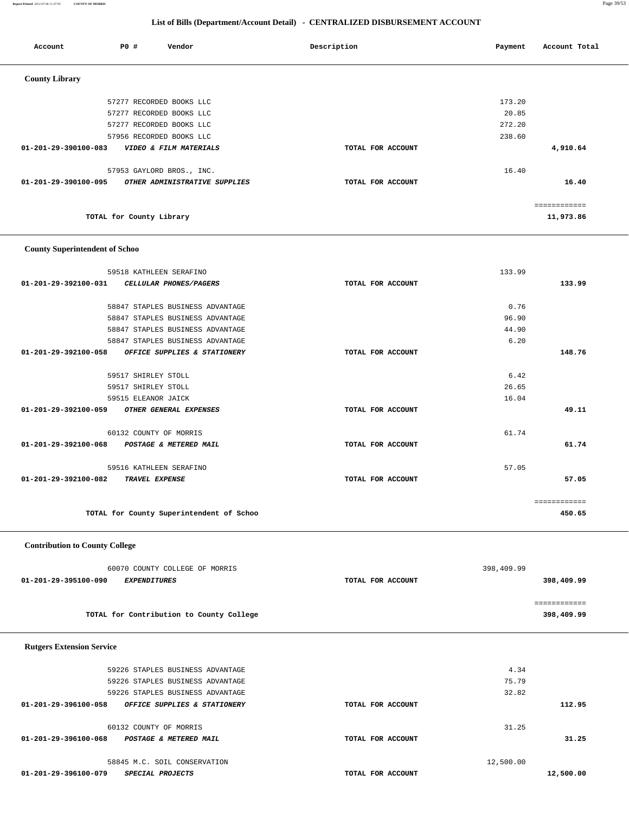**Report Printed** *2012-07-06 11:47:05* **COUNTY OF MORRIS** Page 39/53

# **List of Bills (Department/Account Detail) - CENTRALIZED DISBURSEMENT ACCOUNT**

| Account               | <b>PO #</b>              | Vendor                        | Description       | Payment | Account Total |
|-----------------------|--------------------------|-------------------------------|-------------------|---------|---------------|
| <b>County Library</b> |                          |                               |                   |         |               |
|                       |                          | 57277 RECORDED BOOKS LLC      |                   | 173.20  |               |
|                       |                          | 57277 RECORDED BOOKS LLC      |                   | 20.85   |               |
|                       |                          | 57277 RECORDED BOOKS LLC      |                   | 272.20  |               |
|                       |                          | 57956 RECORDED BOOKS LLC      |                   | 238.60  |               |
| 01-201-29-390100-083  |                          | VIDEO & FILM MATERIALS        | TOTAL FOR ACCOUNT |         | 4,910.64      |
|                       |                          | 57953 GAYLORD BROS., INC.     |                   | 16.40   |               |
| 01-201-29-390100-095  |                          | OTHER ADMINISTRATIVE SUPPLIES | TOTAL FOR ACCOUNT |         | 16.40         |
|                       |                          |                               |                   |         | ============  |
|                       | TOTAL for County Library |                               |                   |         | 11,973.86     |

### **County Superintendent of Schoo**

| 59518 KATHLEEN SERAFINO                               |                   | 133.99 |              |
|-------------------------------------------------------|-------------------|--------|--------------|
| 01-201-29-392100-031<br>CELLULAR PHONES/PAGERS        | TOTAL FOR ACCOUNT |        | 133.99       |
|                                                       |                   |        |              |
| 58847 STAPLES BUSINESS ADVANTAGE                      |                   | 0.76   |              |
| 58847 STAPLES BUSINESS ADVANTAGE                      |                   | 96.90  |              |
| 58847 STAPLES BUSINESS ADVANTAGE                      |                   | 44.90  |              |
| 58847 STAPLES BUSINESS ADVANTAGE                      |                   | 6.20   |              |
| 01-201-29-392100-058<br>OFFICE SUPPLIES & STATIONERY  | TOTAL FOR ACCOUNT |        | 148.76       |
| 59517 SHIRLEY STOLL                                   |                   | 6.42   |              |
| 59517 SHIRLEY STOLL                                   |                   | 26.65  |              |
| 59515 ELEANOR JAICK                                   |                   | 16.04  |              |
| 01-201-29-392100-059<br><i>OTHER GENERAL EXPENSES</i> | TOTAL FOR ACCOUNT |        | 49.11        |
|                                                       |                   |        |              |
| 60132 COUNTY OF MORRIS                                |                   | 61.74  |              |
| 01-201-29-392100-068<br>POSTAGE & METERED MAIL        | TOTAL FOR ACCOUNT |        | 61.74        |
| 59516 KATHLEEN SERAFINO                               |                   | 57.05  |              |
| 01-201-29-392100-082<br><b>TRAVEL EXPENSE</b>         | TOTAL FOR ACCOUNT |        | 57.05        |
|                                                       |                   |        |              |
|                                                       |                   |        | ============ |
| TOTAL for County Superintendent of Schoo              |                   |        | 450.65       |
|                                                       |                   |        |              |

# **Contribution to County College**

| 60070 COUNTY COLLEGE OF MORRIS              |                   | 398,409.99 |  |
|---------------------------------------------|-------------------|------------|--|
| 01-201-29-395100-090<br><i>EXPENDITURES</i> | TOTAL FOR ACCOUNT | 398,409.99 |  |
|                                             |                   |            |  |
|                                             |                   |            |  |
| TOTAL for Contribution to County College    |                   | 398,409.99 |  |

| <b>Rutgers Extension Service</b>                     |                   |           |           |
|------------------------------------------------------|-------------------|-----------|-----------|
| 59226 STAPLES BUSINESS ADVANTAGE                     |                   | 4.34      |           |
| 59226 STAPLES BUSINESS ADVANTAGE                     |                   | 75.79     |           |
| 59226 STAPLES BUSINESS ADVANTAGE                     |                   | 32.82     |           |
| 01-201-29-396100-058<br>OFFICE SUPPLIES & STATIONERY | TOTAL FOR ACCOUNT |           | 112.95    |
| 60132 COUNTY OF MORRIS                               |                   | 31.25     |           |
| 01-201-29-396100-068<br>POSTAGE & METERED MAIL       | TOTAL FOR ACCOUNT |           | 31.25     |
| 58845 M.C. SOIL CONSERVATION                         |                   | 12,500.00 |           |
| 01-201-29-396100-079<br>SPECIAL PROJECTS             | TOTAL FOR ACCOUNT |           | 12,500.00 |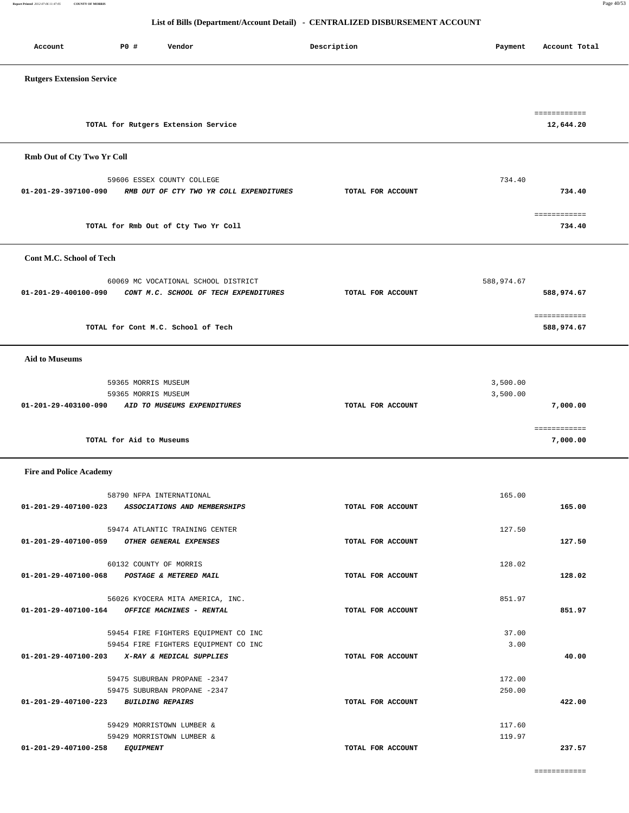============

| <b>Fire and Police Academy</b> |                                               |                   |        |        |
|--------------------------------|-----------------------------------------------|-------------------|--------|--------|
|                                | 58790 NFPA INTERNATIONAL                      |                   | 165.00 |        |
| 01-201-29-407100-023           | ASSOCIATIONS AND MEMBERSHIPS                  | TOTAL FOR ACCOUNT |        | 165.00 |
|                                |                                               |                   |        |        |
|                                | 59474 ATLANTIC TRAINING CENTER                |                   | 127.50 |        |
| 01-201-29-407100-059           | OTHER GENERAL EXPENSES                        | TOTAL FOR ACCOUNT |        | 127.50 |
|                                |                                               |                   |        |        |
|                                | 60132 COUNTY OF MORRIS                        |                   | 128.02 |        |
| 01-201-29-407100-068           | POSTAGE & METERED MAIL                        | TOTAL FOR ACCOUNT |        | 128.02 |
|                                | 56026 KYOCERA MITA AMERICA, INC.              |                   | 851.97 |        |
|                                | 01-201-29-407100-164 OFFICE MACHINES - RENTAL | TOTAL FOR ACCOUNT |        | 851.97 |
|                                |                                               |                   |        |        |
|                                | 59454 FIRE FIGHTERS EQUIPMENT CO INC          |                   | 37.00  |        |
|                                | 59454 FIRE FIGHTERS EQUIPMENT CO INC          |                   | 3.00   |        |
|                                | 01-201-29-407100-203 X-RAY & MEDICAL SUPPLIES | TOTAL FOR ACCOUNT |        | 40.00  |
|                                |                                               |                   |        |        |
|                                | 59475 SUBURBAN PROPANE -2347                  |                   | 172.00 |        |
|                                | 59475 SUBURBAN PROPANE -2347                  |                   | 250.00 |        |
| $01 - 201 - 29 - 407100 - 223$ | <i>BUILDING REPAIRS</i>                       | TOTAL FOR ACCOUNT |        | 422.00 |
|                                |                                               |                   |        |        |
|                                | 59429 MORRISTOWN LUMBER &                     |                   | 117.60 |        |
|                                | 59429 MORRISTOWN LUMBER &                     |                   | 119.97 |        |
| 01-201-29-407100-258           | <b>EQUIPMENT</b>                              | TOTAL FOR ACCOUNT |        | 237.57 |
|                                |                                               |                   |        |        |

| TOTAL for Cont M.C. School of Tech                  |                   | 588,974.67 |
|-----------------------------------------------------|-------------------|------------|
| <b>Aid to Museums</b>                               |                   |            |
| 59365 MORRIS MUSEUM                                 |                   | 3,500.00   |
| 59365 MORRIS MUSEUM                                 |                   | 3,500.00   |
| 01-201-29-403100-090<br>AID TO MUSEUMS EXPENDITURES | TOTAL FOR ACCOUNT | 7,000.00   |
|                                                     |                   |            |
| TOTAL for Aid to Museums                            |                   | 7,000.00   |

| TOTAL for Rutgers Extension Service | 12,644.20 |
|-------------------------------------|-----------|
|                                     |           |
| Rmb Out of Cty Two Yr Coll          |           |

 **List of Bills (Department/Account Detail) - CENTRALIZED DISBURSEMENT ACCOUNT**

Account **PO #** Vendor **Payment Payment Payment** Payment Payment Payment Account Total

| <b>Rutgers Extension Service</b>      |                                                    |                   |            |                            |
|---------------------------------------|----------------------------------------------------|-------------------|------------|----------------------------|
|                                       |                                                    |                   |            |                            |
|                                       | TOTAL for Rutgers Extension Service                |                   |            | ============<br>12,644.20  |
| Rmb Out of Cty Two Yr Coll            |                                                    |                   |            |                            |
|                                       | 59606 ESSEX COUNTY COLLEGE                         |                   | 734.40     |                            |
| 01-201-29-397100-090                  | RMB OUT OF CTY TWO YR COLL EXPENDITURES            | TOTAL FOR ACCOUNT |            | 734.40                     |
|                                       | TOTAL for Rmb Out of Cty Two Yr Coll               |                   |            | ============<br>734.40     |
| Cont M.C. School of Tech              |                                                    |                   |            |                            |
|                                       | 60069 MC VOCATIONAL SCHOOL DISTRICT                |                   | 588,974.67 |                            |
| 01-201-29-400100-090                  | CONT M.C. SCHOOL OF TECH EXPENDITURES              | TOTAL FOR ACCOUNT |            | 588,974.67                 |
|                                       | TOTAL for Cont M.C. School of Tech                 |                   |            | ============<br>588,974.67 |
|                                       |                                                    |                   |            |                            |
| <b>Aid to Museums</b>                 |                                                    |                   |            |                            |
|                                       | 59365 MORRIS MUSEUM                                |                   | 3,500.00   |                            |
| 01-201-29-403100-090                  | 59365 MORRIS MUSEUM<br>AID TO MUSEUMS EXPENDITURES | TOTAL FOR ACCOUNT | 3,500.00   | 7,000.00                   |
|                                       |                                                    |                   |            | ============               |
|                                       | TOTAL for Aid to Museums                           |                   |            | 7,000.00                   |
| <b>Fire and Police Academy</b>        |                                                    |                   |            |                            |
|                                       | 58790 NFPA INTERNATIONAL                           |                   | 165.00     |                            |
| $01 - 201 - 29 - 407100 - 023$        | ASSOCIATIONS AND MEMBERSHIPS                       | TOTAL FOR ACCOUNT |            | 165.00                     |
|                                       | 59474 ATLANTIC TRAINING CENTER                     |                   | 127.50     |                            |
|                                       | 01-201-29-407100-059 OTHER GENERAL EXPENSES        | TOTAL FOR ACCOUNT |            | 127.50                     |
|                                       | 60132 COUNTY OF MORRIS                             |                   | 128.02     |                            |
|                                       | 01-201-29-407100-068 POSTAGE & METERED MAIL        | TOTAL FOR ACCOUNT |            | 128.02                     |
|                                       | 56026 KYOCERA MITA AMERICA, INC.                   |                   | 851.97     |                            |
|                                       | 01-201-29-407100-164 OFFICE MACHINES - RENTAL      | TOTAL FOR ACCOUNT |            | 851.97                     |
|                                       | 59454 FIRE FIGHTERS EQUIPMENT CO INC               |                   | 37.00      |                            |
|                                       | 59454 FIRE FIGHTERS EQUIPMENT CO INC               |                   | 3.00       |                            |
|                                       | 01-201-29-407100-203 X-RAY & MEDICAL SUPPLIES      | TOTAL FOR ACCOUNT |            | 40.00                      |
|                                       | 59475 SUBURBAN PROPANE -2347                       |                   | 172.00     |                            |
| 01-201-29-407100-223 BUILDING REPAIRS | 59475 SUBURBAN PROPANE -2347                       | TOTAL FOR ACCOUNT | 250.00     | 422.00                     |
|                                       |                                                    |                   |            |                            |
|                                       | 59429 MORRISTOWN LUMBER &                          |                   | 117.60     |                            |
|                                       | 59429 MORRISTOWN LUMBER &                          |                   | 119.97     |                            |

**Report Printed** *2012-07-06 11:47:05* **COUNTY OF MORRIS** Page 40/53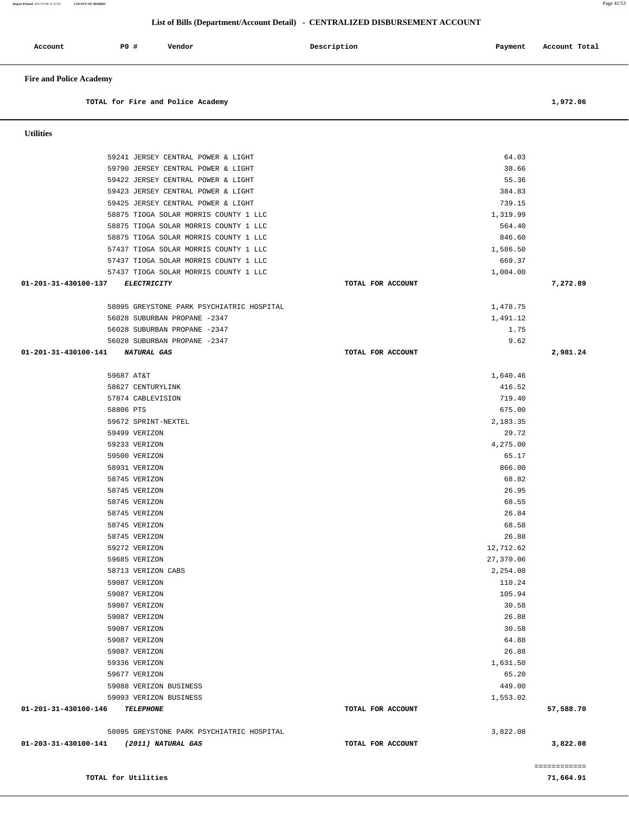|                                            | TOTAL for Fire and Police Academy                                              |                   |                       | 1,972.06  |
|--------------------------------------------|--------------------------------------------------------------------------------|-------------------|-----------------------|-----------|
| <b>Utilities</b>                           |                                                                                |                   |                       |           |
|                                            | 59241 JERSEY CENTRAL POWER & LIGHT                                             |                   | 64.03                 |           |
|                                            | 59790 JERSEY CENTRAL POWER & LIGHT                                             |                   | 38.66                 |           |
|                                            | 59422 JERSEY CENTRAL POWER & LIGHT                                             |                   | 55.36                 |           |
|                                            | 59423 JERSEY CENTRAL POWER & LIGHT                                             |                   | 384.83                |           |
|                                            | 59425 JERSEY CENTRAL POWER & LIGHT                                             |                   | 739.15                |           |
|                                            | 58875 TIOGA SOLAR MORRIS COUNTY 1 LLC<br>58875 TIOGA SOLAR MORRIS COUNTY 1 LLC |                   | 1,319.99<br>564.40    |           |
|                                            | 58875 TIOGA SOLAR MORRIS COUNTY 1 LLC                                          |                   | 846.60                |           |
|                                            | 57437 TIOGA SOLAR MORRIS COUNTY 1 LLC                                          |                   | 1,586.50              |           |
|                                            | 57437 TIOGA SOLAR MORRIS COUNTY 1 LLC                                          |                   | 669.37                |           |
|                                            | 57437 TIOGA SOLAR MORRIS COUNTY 1 LLC                                          |                   | 1,004.00              |           |
| 01-201-31-430100-137<br>ELECTRICITY        |                                                                                | TOTAL FOR ACCOUNT |                       | 7,272.89  |
|                                            | 58095 GREYSTONE PARK PSYCHIATRIC HOSPITAL                                      |                   | 1,478.75              |           |
|                                            | 56028 SUBURBAN PROPANE -2347                                                   |                   | 1,491.12              |           |
|                                            | 56028 SUBURBAN PROPANE -2347                                                   |                   | 1.75                  |           |
|                                            | 56028 SUBURBAN PROPANE -2347                                                   |                   | 9.62                  |           |
| 01-201-31-430100-141<br><i>NATURAL GAS</i> |                                                                                | TOTAL FOR ACCOUNT |                       | 2,981.24  |
| 59687 AT&T                                 |                                                                                |                   | 1,640.46              |           |
| 58627 CENTURYLINK                          |                                                                                |                   | 416.52                |           |
| 57874 CABLEVISION                          |                                                                                |                   | 719.40                |           |
| 58806 PTS                                  |                                                                                |                   | 675.00                |           |
| 59672 SPRINT-NEXTEL                        |                                                                                |                   | 2,183.35              |           |
| 59499 VERIZON                              |                                                                                |                   | 29.72                 |           |
| 59233 VERIZON<br>59500 VERIZON             |                                                                                |                   | 4,275.00<br>65.17     |           |
| 58931 VERIZON                              |                                                                                |                   | 866.00                |           |
| 58745 VERIZON                              |                                                                                |                   | 68.82                 |           |
| 58745 VERIZON                              |                                                                                |                   | 26.95                 |           |
| 58745 VERIZON                              |                                                                                |                   | 68.55                 |           |
| 58745 VERIZON                              |                                                                                |                   | 26.84                 |           |
| 58745 VERIZON                              |                                                                                |                   | 68.58                 |           |
| 58745 VERIZON                              |                                                                                |                   | 26.88                 |           |
| 59272 VERIZON                              |                                                                                |                   | 12,712.62             |           |
| 59685 VERIZON<br>58713 VERIZON CABS        |                                                                                |                   | 27,370.06<br>2,254.08 |           |
| 59087 VERIZON                              |                                                                                |                   | 110.24                |           |
| 59087 VERIZON                              |                                                                                |                   | 105.94                |           |
| 59087 VERIZON                              |                                                                                |                   | 30.58                 |           |
| 59087 VERIZON                              |                                                                                |                   | 26.88                 |           |
| 59087 VERIZON                              |                                                                                |                   | 30.58                 |           |
| 59087 VERIZON                              |                                                                                |                   | 64.88                 |           |
| 59087 VERIZON                              |                                                                                |                   | 26.88                 |           |
| 59336 VERIZON                              |                                                                                |                   | 1,631.50              |           |
| 59677 VERIZON                              |                                                                                |                   | 65.20                 |           |
|                                            | 59088 VERIZON BUSINESS<br>59093 VERIZON BUSINESS                               |                   | 449.00<br>1,553.02    |           |
| 01-201-31-430100-146<br><b>TELEPHONE</b>   |                                                                                | TOTAL FOR ACCOUNT |                       | 57,588.70 |
|                                            | 58095 GREYSTONE PARK PSYCHIATRIC HOSPITAL                                      |                   | 3,822.08              |           |
| 01-203-31-430100-141 (2011) NATURAL GAS    |                                                                                | TOTAL FOR ACCOUNT |                       | 3,822.08  |
|                                            |                                                                                |                   |                       |           |
|                                            | TOTAL for Utilities                                                            |                   |                       | 71,664.91 |

Account P0 **#** Vendor **Description** Description Payment Account Total